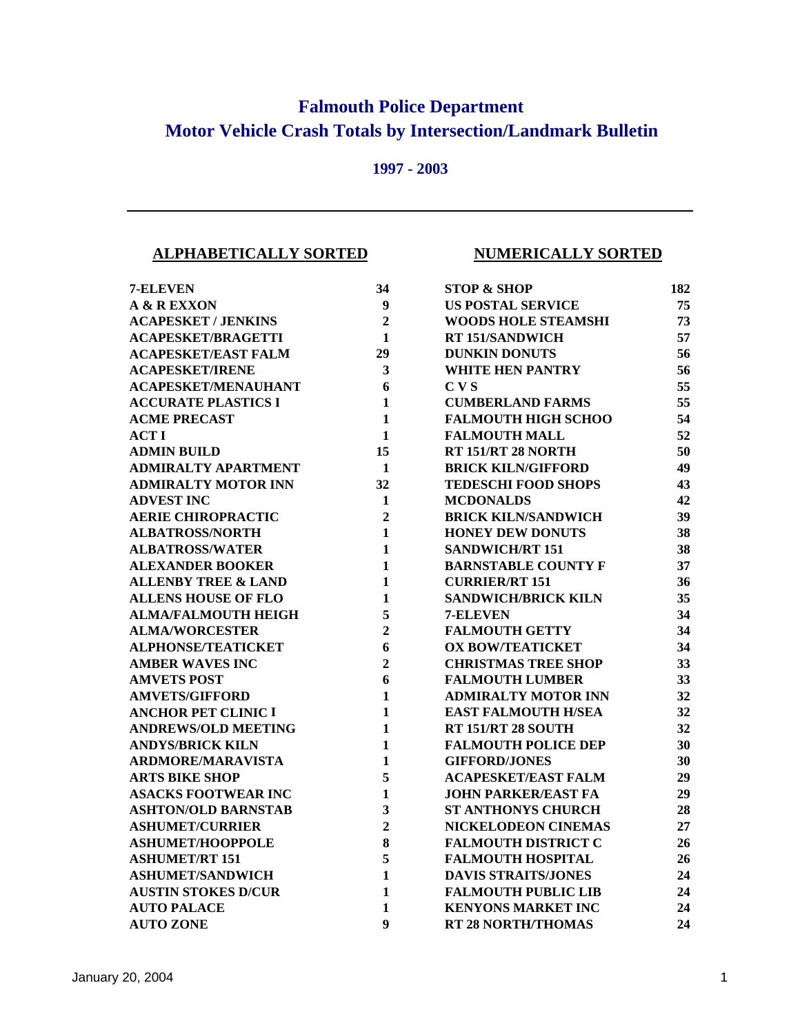## **Falmouth Police Department Motor Vehicle Crash Totals by Intersection/Landmark Bulletin**

## **1997 - 2003**

## **ALPHABETICALLY SORTED NUMERICALLY SORTED**

| 7-ELEVEN                       | 34                      | <b>STOP &amp; SHOP</b>     | 182 |
|--------------------------------|-------------------------|----------------------------|-----|
| A & R EXXON                    | $\boldsymbol{9}$        | <b>US POSTAL SERVICE</b>   | 75  |
| <b>ACAPESKET / JENKINS</b>     | $\overline{2}$          | <b>WOODS HOLE STEAMSHI</b> | 73  |
| <b>ACAPESKET/BRAGETTI</b>      | $\mathbf{1}$            | RT 151/SANDWICH            | 57  |
| <b>ACAPESKET/EAST FALM</b>     | 29                      | <b>DUNKIN DONUTS</b>       | 56  |
| <b>ACAPESKET/IRENE</b>         | $\overline{\mathbf{3}}$ | <b>WHITE HEN PANTRY</b>    | 56  |
| <b>ACAPESKET/MENAUHANT</b>     | 6                       | C <sub>V</sub>             | 55  |
| <b>ACCURATE PLASTICS I</b>     | $\mathbf{1}$            | <b>CUMBERLAND FARMS</b>    | 55  |
| <b>ACME PRECAST</b>            | $\mathbf{1}$            | <b>FALMOUTH HIGH SCHOO</b> | 54  |
| <b>ACTI</b>                    | $\mathbf{1}$            | <b>FALMOUTH MALL</b>       | 52  |
| <b>ADMIN BUILD</b>             | 15                      | RT 151/RT 28 NORTH         | 50  |
| <b>ADMIRALTY APARTMENT</b>     | 1                       | <b>BRICK KILN/GIFFORD</b>  | 49  |
| <b>ADMIRALTY MOTOR INN</b>     | 32                      | <b>TEDESCHI FOOD SHOPS</b> | 43  |
| <b>ADVEST INC</b>              | 1                       | <b>MCDONALDS</b>           | 42  |
| <b>AERIE CHIROPRACTIC</b>      | $\overline{2}$          | <b>BRICK KILN/SANDWICH</b> | 39  |
| <b>ALBATROSS/NORTH</b>         | $\mathbf{1}$            | <b>HONEY DEW DONUTS</b>    | 38  |
| <b>ALBATROSS/WATER</b>         | $\mathbf{1}$            | <b>SANDWICH/RT 151</b>     | 38  |
| <b>ALEXANDER BOOKER</b>        | $\mathbf{1}$            | <b>BARNSTABLE COUNTY F</b> | 37  |
| <b>ALLENBY TREE &amp; LAND</b> | $\mathbf{1}$            | <b>CURRIER/RT 151</b>      | 36  |
| <b>ALLENS HOUSE OF FLO</b>     | 1                       | <b>SANDWICH/BRICK KILN</b> | 35  |
| <b>ALMA/FALMOUTH HEIGH</b>     | 5                       | 7-ELEVEN                   | 34  |
| <b>ALMA/WORCESTER</b>          | $\overline{2}$          | <b>FALMOUTH GETTY</b>      | 34  |
| <b>ALPHONSE/TEATICKET</b>      | 6                       | <b>OX BOW/TEATICKET</b>    | 34  |
| <b>AMBER WAVES INC</b>         | $\overline{2}$          | <b>CHRISTMAS TREE SHOP</b> | 33  |
| <b>AMVETS POST</b>             | 6                       | <b>FALMOUTH LUMBER</b>     | 33  |
| <b>AMVETS/GIFFORD</b>          | $\mathbf{1}$            | <b>ADMIRALTY MOTOR INN</b> | 32  |
| <b>ANCHOR PET CLINIC I</b>     | $\mathbf{1}$            | <b>EAST FALMOUTH H/SEA</b> | 32  |
| <b>ANDREWS/OLD MEETING</b>     | $\mathbf{1}$            | <b>RT 151/RT 28 SOUTH</b>  | 32  |
| <b>ANDYS/BRICK KILN</b>        | $\mathbf{1}$            | <b>FALMOUTH POLICE DEP</b> | 30  |
| <b>ARDMORE/MARAVISTA</b>       | $\mathbf{1}$            | <b>GIFFORD/JONES</b>       | 30  |
| <b>ARTS BIKE SHOP</b>          | 5                       | <b>ACAPESKET/EAST FALM</b> | 29  |
| <b>ASACKS FOOTWEAR INC</b>     | $\mathbf{1}$            | <b>JOHN PARKER/EAST FA</b> | 29  |
| <b>ASHTON/OLD BARNSTAB</b>     | $\overline{\mathbf{3}}$ | <b>ST ANTHONYS CHURCH</b>  | 28  |
| <b>ASHUMET/CURRIER</b>         | $\overline{2}$          | NICKELODEON CINEMAS        | 27  |
| <b>ASHUMET/HOOPPOLE</b>        | 8                       | <b>FALMOUTH DISTRICT C</b> | 26  |
| <b>ASHUMET/RT 151</b>          | 5                       | <b>FALMOUTH HOSPITAL</b>   | 26  |
| <b>ASHUMET/SANDWICH</b>        | $\mathbf{1}$            | <b>DAVIS STRAITS/JONES</b> | 24  |
| <b>AUSTIN STOKES D/CUR</b>     | $\mathbf{1}$            | <b>FALMOUTH PUBLIC LIB</b> | 24  |
| <b>AUTO PALACE</b>             | 1                       | <b>KENYONS MARKET INC</b>  | 24  |
| <b>AUTO ZONE</b>               | $\boldsymbol{9}$        | <b>RT 28 NORTH/THOMAS</b>  | 24  |

| 4              | <b>STOP &amp; SHOP</b>     | 182 |
|----------------|----------------------------|-----|
| 9              | <b>US POSTAL SERVICE</b>   | 75  |
| $\overline{c}$ | <b>WOODS HOLE STEAMSHI</b> | 73  |
| 1              | RT 151/SANDWICH            | 57  |
| 9              | <b>DUNKIN DONUTS</b>       | 56  |
| 3              | <b>WHITE HEN PANTRY</b>    | 56  |
| 6              | CVS                        | 55  |
| 1              | <b>CUMBERLAND FARMS</b>    | 55  |
| 1              | <b>FALMOUTH HIGH SCHOO</b> | 54  |
| 1              | <b>FALMOUTH MALL</b>       | 52  |
| 5              | <b>RT 151/RT 28 NORTH</b>  | 50  |
| 1              | <b>BRICK KILN/GIFFORD</b>  | 49  |
| $\overline{2}$ | <b>TEDESCHI FOOD SHOPS</b> | 43  |
| 1              | <b>MCDONALDS</b>           | 42  |
| $\overline{c}$ | <b>BRICK KILN/SANDWICH</b> | 39  |
| 1              | <b>HONEY DEW DONUTS</b>    | 38  |
| 1              | <b>SANDWICH/RT 151</b>     | 38  |
| 1              | <b>BARNSTABLE COUNTY F</b> | 37  |
| 1              | <b>CURRIER/RT 151</b>      | 36  |
| 1              | <b>SANDWICH/BRICK KILN</b> | 35  |
| 5              | 7-ELEVEN                   | 34  |
| $\overline{c}$ | <b>FALMOUTH GETTY</b>      | 34  |
| 6              | <b>OX BOW/TEATICKET</b>    | 34  |
| $\overline{2}$ | <b>CHRISTMAS TREE SHOP</b> | 33  |
| 6              | <b>FALMOUTH LUMBER</b>     | 33  |
| 1              | <b>ADMIRALTY MOTOR INN</b> | 32  |
| 1              | <b>EAST FALMOUTH H/SEA</b> | 32  |
| 1              | <b>RT 151/RT 28 SOUTH</b>  | 32  |
| $\mathbf{1}$   | <b>FALMOUTH POLICE DEP</b> | 30  |
| 1              | <b>GIFFORD/JONES</b>       | 30  |
| 5              | <b>ACAPESKET/EAST FALM</b> | 29  |
| 1              | <b>JOHN PARKER/EAST FA</b> | 29  |
| 3              | <b>ST ANTHONYS CHURCH</b>  | 28  |
| $\overline{2}$ | <b>NICKELODEON CINEMAS</b> | 27  |
| 8              | <b>FALMOUTH DISTRICT C</b> | 26  |
| 5              | <b>FALMOUTH HOSPITAL</b>   | 26  |
| 1              | <b>DAVIS STRAITS/JONES</b> | 24  |
| 1              | <b>FALMOUTH PUBLIC LIB</b> | 24  |
| 1              | <b>KENYONS MARKET INC</b>  | 24  |
|                |                            |     |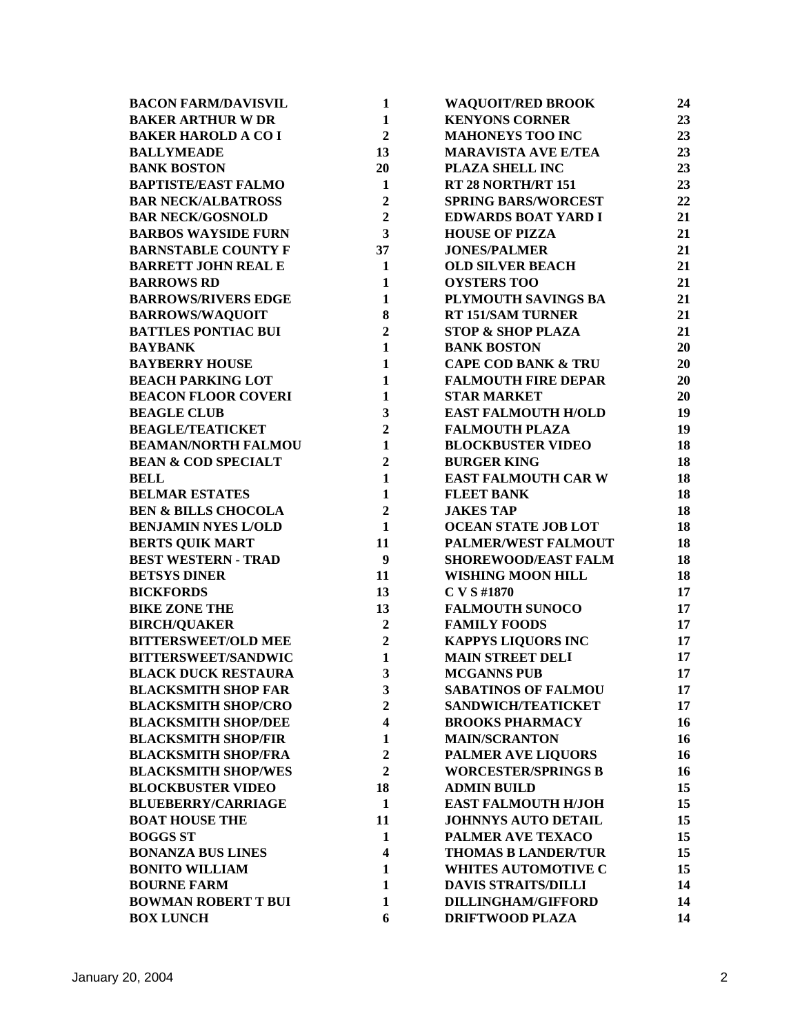| <b>BACON FARM/DAVISVIL</b>     | 1                       | <b>WAQUOIT/RED BROOK</b>       | 24 |
|--------------------------------|-------------------------|--------------------------------|----|
| <b>BAKER ARTHUR W DR</b>       | $\mathbf{1}$            | <b>KENYONS CORNER</b>          | 23 |
| <b>BAKER HAROLD A CO I</b>     | $\overline{2}$          | <b>MAHONEYS TOO INC</b>        | 23 |
| <b>BALLYMEADE</b>              | 13                      | <b>MARAVISTA AVE E/TEA</b>     | 23 |
| <b>BANK BOSTON</b>             | 20                      | PLAZA SHELL INC                | 23 |
| <b>BAPTISTE/EAST FALMO</b>     | $\mathbf{1}$            | RT 28 NORTH/RT 151             | 23 |
| <b>BAR NECK/ALBATROSS</b>      | $\overline{2}$          | <b>SPRING BARS/WORCEST</b>     | 22 |
| <b>BAR NECK/GOSNOLD</b>        | $\overline{2}$          | <b>EDWARDS BOAT YARD I</b>     | 21 |
| <b>BARBOS WAYSIDE FURN</b>     | 3                       | <b>HOUSE OF PIZZA</b>          | 21 |
| <b>BARNSTABLE COUNTY F</b>     | 37                      | <b>JONES/PALMER</b>            | 21 |
| <b>BARRETT JOHN REAL E</b>     | $\mathbf{1}$            | <b>OLD SILVER BEACH</b>        | 21 |
| <b>BARROWS RD</b>              | $\mathbf{1}$            | <b>OYSTERS TOO</b>             | 21 |
| <b>BARROWS/RIVERS EDGE</b>     | $\mathbf{1}$            | PLYMOUTH SAVINGS BA            | 21 |
| <b>BARROWS/WAQUOIT</b>         | 8                       | <b>RT 151/SAM TURNER</b>       | 21 |
| <b>BATTLES PONTIAC BUI</b>     | $\overline{2}$          | <b>STOP &amp; SHOP PLAZA</b>   | 21 |
| <b>BAYBANK</b>                 | $\mathbf{1}$            | <b>BANK BOSTON</b>             | 20 |
| <b>BAYBERRY HOUSE</b>          | $\mathbf{1}$            | <b>CAPE COD BANK &amp; TRU</b> | 20 |
| <b>BEACH PARKING LOT</b>       | $\mathbf{1}$            | <b>FALMOUTH FIRE DEPAR</b>     | 20 |
| <b>BEACON FLOOR COVERI</b>     | $\mathbf{1}$            | <b>STAR MARKET</b>             | 20 |
| <b>BEAGLE CLUB</b>             | $\mathbf{3}$            | <b>EAST FALMOUTH H/OLD</b>     | 19 |
| <b>BEAGLE/TEATICKET</b>        | $\overline{2}$          | <b>FALMOUTH PLAZA</b>          | 19 |
| <b>BEAMAN/NORTH FALMOU</b>     | $\mathbf{1}$            | <b>BLOCKBUSTER VIDEO</b>       | 18 |
| <b>BEAN &amp; COD SPECIALT</b> | $\overline{2}$          | <b>BURGER KING</b>             | 18 |
| <b>BELL</b>                    | $\mathbf{1}$            | <b>EAST FALMOUTH CAR W</b>     | 18 |
| <b>BELMAR ESTATES</b>          | $\mathbf{1}$            | <b>FLEET BANK</b>              | 18 |
| <b>BEN &amp; BILLS CHOCOLA</b> | $\overline{2}$          | <b>JAKES TAP</b>               | 18 |
| <b>BENJAMIN NYES L/OLD</b>     | $\mathbf{1}$            | OCEAN STATE JOB LOT            | 18 |
| <b>BERTS QUIK MART</b>         | 11                      | PALMER/WEST FALMOUT            | 18 |
| <b>BEST WESTERN - TRAD</b>     | $\boldsymbol{9}$        | <b>SHOREWOOD/EAST FALM</b>     | 18 |
| <b>BETSYS DINER</b>            | 11                      | <b>WISHING MOON HILL</b>       | 18 |
| <b>BICKFORDS</b>               | 13                      | C V S #1870                    | 17 |
| <b>BIKE ZONE THE</b>           | 13                      | <b>FALMOUTH SUNOCO</b>         | 17 |
| <b>BIRCH/QUAKER</b>            | $\overline{2}$          | <b>FAMILY FOODS</b>            | 17 |
| <b>BITTERSWEET/OLD MEE</b>     | $\overline{2}$          | <b>KAPPYS LIQUORS INC</b>      | 17 |
| <b>BITTERSWEET/SANDWIC</b>     | $\mathbf{1}$            | <b>MAIN STREET DELI</b>        | 17 |
| <b>BLACK DUCK RESTAURA</b>     | 3                       | <b>MCGANNS PUB</b>             | 17 |
| <b>BLACKSMITH SHOP FAR</b>     | $\mathbf{3}$            | <b>SABATINOS OF FALMOU</b>     | 17 |
| <b>BLACKSMITH SHOP/CRO</b>     | $\overline{2}$          | SANDWICH/TEATICKET             | 17 |
| <b>BLACKSMITH SHOP/DEE</b>     | $\overline{\mathbf{4}}$ | <b>BROOKS PHARMACY</b>         | 16 |
| <b>BLACKSMITH SHOP/FIR</b>     | $\mathbf{1}$            | <b>MAIN/SCRANTON</b>           | 16 |
| <b>BLACKSMITH SHOP/FRA</b>     | $\overline{2}$          | <b>PALMER AVE LIQUORS</b>      | 16 |
| <b>BLACKSMITH SHOP/WES</b>     | $\overline{2}$          | <b>WORCESTER/SPRINGS B</b>     | 16 |
| <b>BLOCKBUSTER VIDEO</b>       | 18                      | <b>ADMIN BUILD</b>             | 15 |
| <b>BLUEBERRY/CARRIAGE</b>      | $\mathbf{1}$            | <b>EAST FALMOUTH H/JOH</b>     | 15 |
| <b>BOAT HOUSE THE</b>          | 11                      | <b>JOHNNYS AUTO DETAIL</b>     | 15 |
| <b>BOGGS ST</b>                | $\mathbf{1}$            | PALMER AVE TEXACO              | 15 |
| <b>BONANZA BUS LINES</b>       | $\overline{\mathbf{4}}$ | <b>THOMAS B LANDER/TUR</b>     | 15 |
| <b>BONITO WILLIAM</b>          | $\mathbf{1}$            | <b>WHITES AUTOMOTIVE C</b>     | 15 |
| <b>BOURNE FARM</b>             | $\mathbf{1}$            | <b>DAVIS STRAITS/DILLI</b>     | 14 |
| <b>BOWMAN ROBERT T BUI</b>     | $\mathbf{1}$            | <b>DILLINGHAM/GIFFORD</b>      | 14 |
| <b>BOX LUNCH</b>               | 6                       | <b>DRIFTWOOD PLAZA</b>         | 14 |
|                                |                         |                                |    |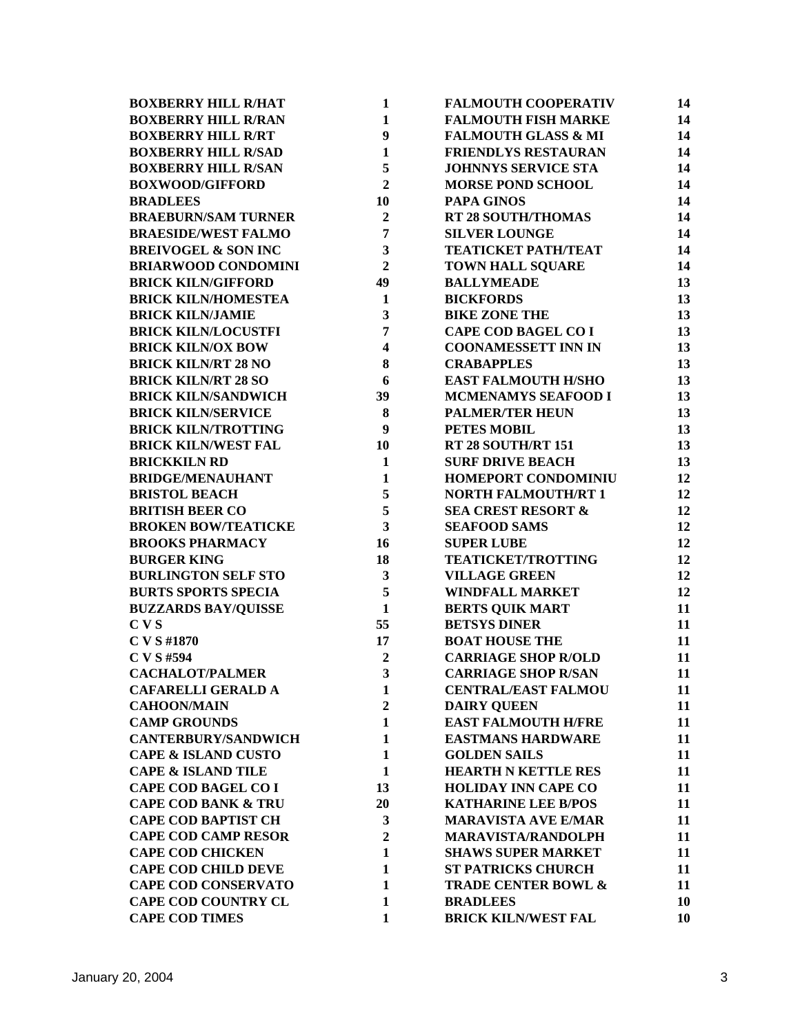| <b>BOXBERRY HILL R/HAT</b>     | $\mathbf{1}$            | <b>FALMOUTH COOPERATIV</b>     | 14 |
|--------------------------------|-------------------------|--------------------------------|----|
| <b>BOXBERRY HILL R/RAN</b>     | $\mathbf{1}$            | <b>FALMOUTH FISH MARKE</b>     | 14 |
| <b>BOXBERRY HILL R/RT</b>      | 9                       | <b>FALMOUTH GLASS &amp; MI</b> | 14 |
| <b>BOXBERRY HILL R/SAD</b>     | $\mathbf{1}$            | <b>FRIENDLYS RESTAURAN</b>     | 14 |
| <b>BOXBERRY HILL R/SAN</b>     | 5                       | <b>JOHNNYS SERVICE STA</b>     | 14 |
| <b>BOXWOOD/GIFFORD</b>         | $\overline{2}$          | <b>MORSE POND SCHOOL</b>       | 14 |
| <b>BRADLEES</b>                | 10                      | <b>PAPA GINOS</b>              | 14 |
| <b>BRAEBURN/SAM TURNER</b>     | $\overline{2}$          | <b>RT 28 SOUTH/THOMAS</b>      | 14 |
| <b>BRAESIDE/WEST FALMO</b>     | $7\phantom{.0}$         | <b>SILVER LOUNGE</b>           | 14 |
| <b>BREIVOGEL &amp; SON INC</b> | $\overline{\mathbf{3}}$ | <b>TEATICKET PATH/TEAT</b>     | 14 |
| <b>BRIARWOOD CONDOMINI</b>     | $\overline{2}$          | <b>TOWN HALL SQUARE</b>        | 14 |
| <b>BRICK KILN/GIFFORD</b>      | 49                      | <b>BALLYMEADE</b>              | 13 |
| <b>BRICK KILN/HOMESTEA</b>     | $\mathbf{1}$            | <b>BICKFORDS</b>               | 13 |
| <b>BRICK KILN/JAMIE</b>        | $\overline{\mathbf{3}}$ | <b>BIKE ZONE THE</b>           | 13 |
| <b>BRICK KILN/LOCUSTFI</b>     | $\overline{7}$          | <b>CAPE COD BAGEL CO I</b>     | 13 |
| <b>BRICK KILN/OX BOW</b>       | $\overline{\mathbf{4}}$ | <b>COONAMESSETT INN IN</b>     | 13 |
| <b>BRICK KILN/RT 28 NO</b>     | 8                       | <b>CRABAPPLES</b>              | 13 |
| <b>BRICK KILN/RT 28 SO</b>     | 6                       | <b>EAST FALMOUTH H/SHO</b>     | 13 |
| <b>BRICK KILN/SANDWICH</b>     | 39                      | MCMENAMYS SEAFOOD I            | 13 |
| <b>BRICK KILN/SERVICE</b>      | 8                       | <b>PALMER/TER HEUN</b>         | 13 |
| <b>BRICK KILN/TROTTING</b>     | 9                       | PETES MOBIL                    | 13 |
| <b>BRICK KILN/WEST FAL</b>     | 10                      | RT 28 SOUTH/RT 151             | 13 |
| <b>BRICKKILN RD</b>            | $\mathbf{1}$            | <b>SURF DRIVE BEACH</b>        | 13 |
| <b>BRIDGE/MENAUHANT</b>        | $\mathbf{1}$            | HOMEPORT CONDOMINIU            | 12 |
| <b>BRISTOL BEACH</b>           | 5                       | <b>NORTH FALMOUTH/RT 1</b>     | 12 |
| <b>BRITISH BEER CO</b>         | 5                       | <b>SEA CREST RESORT &amp;</b>  | 12 |
| <b>BROKEN BOW/TEATICKE</b>     | $\overline{\mathbf{3}}$ | <b>SEAFOOD SAMS</b>            | 12 |
| <b>BROOKS PHARMACY</b>         | 16                      | <b>SUPER LUBE</b>              | 12 |
| <b>BURGER KING</b>             | 18                      | <b>TEATICKET/TROTTING</b>      | 12 |
| <b>BURLINGTON SELF STO</b>     | $\mathbf{3}$            | <b>VILLAGE GREEN</b>           | 12 |
| <b>BURTS SPORTS SPECIA</b>     | 5                       | <b>WINDFALL MARKET</b>         | 12 |
| <b>BUZZARDS BAY/QUISSE</b>     | $\mathbf{1}$            | <b>BERTS QUIK MART</b>         | 11 |
| CVS                            | 55                      | <b>BETSYS DINER</b>            | 11 |
| C V S #1870                    | 17                      | <b>BOAT HOUSE THE</b>          | 11 |
| C V S #594                     | $\overline{2}$          | <b>CARRIAGE SHOP R/OLD</b>     | 11 |
| <b>CACHALOT/PALMER</b>         | $\overline{\mathbf{3}}$ | <b>CARRIAGE SHOP R/SAN</b>     | 11 |
| <b>CAFARELLI GERALD A</b>      | 1                       | <b>CENTRAL/EAST FALMOU</b>     | 11 |
| <b>CAHOON/MAIN</b>             | $\boldsymbol{2}$        | <b>DAIRY QUEEN</b>             | 11 |
| <b>CAMP GROUNDS</b>            | $\mathbf{1}$            | <b>EAST FALMOUTH H/FRE</b>     | 11 |
| <b>CANTERBURY/SANDWICH</b>     | $\mathbf{1}$            | <b>EASTMANS HARDWARE</b>       | 11 |
| <b>CAPE &amp; ISLAND CUSTO</b> | $\mathbf{1}$            | <b>GOLDEN SAILS</b>            | 11 |
| <b>CAPE &amp; ISLAND TILE</b>  | $\mathbf{1}$            | <b>HEARTH N KETTLE RES</b>     | 11 |
| <b>CAPE COD BAGEL CO I</b>     | 13                      | <b>HOLIDAY INN CAPE CO</b>     | 11 |
| <b>CAPE COD BANK &amp; TRU</b> | 20                      | <b>KATHARINE LEE B/POS</b>     | 11 |
| <b>CAPE COD BAPTIST CH</b>     | 3                       | <b>MARAVISTA AVE E/MAR</b>     | 11 |
| <b>CAPE COD CAMP RESOR</b>     | $\boldsymbol{2}$        | <b>MARAVISTA/RANDOLPH</b>      | 11 |
| <b>CAPE COD CHICKEN</b>        | $\mathbf{1}$            | <b>SHAWS SUPER MARKET</b>      | 11 |
| <b>CAPE COD CHILD DEVE</b>     | $\mathbf{1}$            | <b>ST PATRICKS CHURCH</b>      | 11 |
| <b>CAPE COD CONSERVATO</b>     | 1                       | <b>TRADE CENTER BOWL &amp;</b> | 11 |
| <b>CAPE COD COUNTRY CL</b>     | $\mathbf{1}$            | <b>BRADLEES</b>                | 10 |
| <b>CAPE COD TIMES</b>          | $\mathbf{1}$            | <b>BRICK KILN/WEST FAL</b>     | 10 |
|                                |                         |                                |    |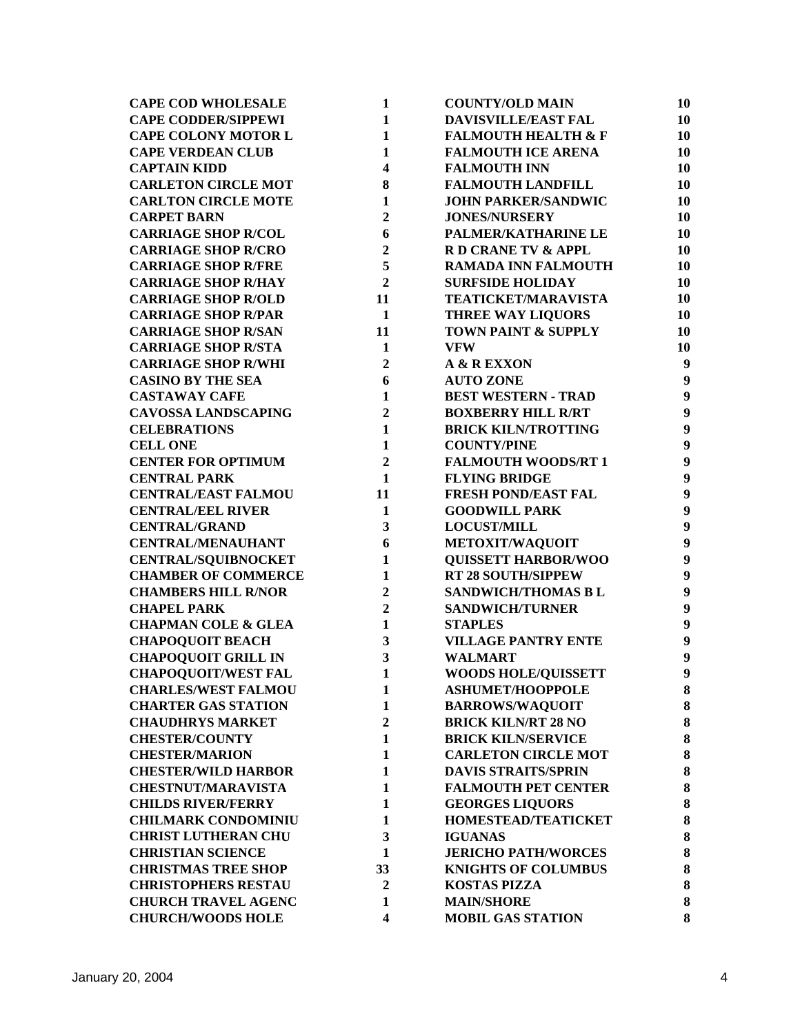| <b>CAPE COD WHOLESALE</b>      | $\mathbf{1}$            | <b>COUNTY/OLD MAIN</b>         | 10               |
|--------------------------------|-------------------------|--------------------------------|------------------|
| <b>CAPE CODDER/SIPPEWI</b>     | $\mathbf{1}$            | <b>DAVISVILLE/EAST FAL</b>     | 10               |
| <b>CAPE COLONY MOTOR L</b>     | $\mathbf{1}$            | <b>FALMOUTH HEALTH &amp; F</b> | 10               |
| <b>CAPE VERDEAN CLUB</b>       | $\mathbf{1}$            | <b>FALMOUTH ICE ARENA</b>      | 10               |
| <b>CAPTAIN KIDD</b>            | $\overline{\mathbf{4}}$ | <b>FALMOUTH INN</b>            | 10               |
| <b>CARLETON CIRCLE MOT</b>     | 8                       | <b>FALMOUTH LANDFILL</b>       | 10               |
| <b>CARLTON CIRCLE MOTE</b>     | $\mathbf{1}$            | <b>JOHN PARKER/SANDWIC</b>     | 10               |
| <b>CARPET BARN</b>             | $\overline{2}$          | <b>JONES/NURSERY</b>           | 10               |
| <b>CARRIAGE SHOP R/COL</b>     | 6                       | PALMER/KATHARINE LE            | 10               |
| <b>CARRIAGE SHOP R/CRO</b>     | $\overline{2}$          | R D CRANE TV & APPL            | 10               |
| <b>CARRIAGE SHOP R/FRE</b>     | 5                       | <b>RAMADA INN FALMOUTH</b>     | 10               |
| <b>CARRIAGE SHOP R/HAY</b>     | $\overline{2}$          | <b>SURFSIDE HOLIDAY</b>        | 10               |
| <b>CARRIAGE SHOP R/OLD</b>     | 11                      | <b>TEATICKET/MARAVISTA</b>     | 10               |
| <b>CARRIAGE SHOP R/PAR</b>     | $\mathbf{1}$            | <b>THREE WAY LIQUORS</b>       | 10               |
| <b>CARRIAGE SHOP R/SAN</b>     | 11                      | TOWN PAINT & SUPPLY            | 10               |
| <b>CARRIAGE SHOP R/STA</b>     | $\mathbf{1}$            | <b>VFW</b>                     | 10               |
| <b>CARRIAGE SHOP R/WHI</b>     | $\mathbf{2}$            | A & R EXXON                    | $\boldsymbol{9}$ |
| <b>CASINO BY THE SEA</b>       | 6                       | <b>AUTO ZONE</b>               | $\boldsymbol{9}$ |
| <b>CASTAWAY CAFE</b>           | $\mathbf{1}$            | <b>BEST WESTERN - TRAD</b>     | $\boldsymbol{9}$ |
| <b>CAVOSSA LANDSCAPING</b>     | $\overline{2}$          | <b>BOXBERRY HILL R/RT</b>      | $\boldsymbol{9}$ |
| <b>CELEBRATIONS</b>            | $\mathbf{1}$            | <b>BRICK KILN/TROTTING</b>     | $\boldsymbol{9}$ |
| <b>CELL ONE</b>                | $\mathbf{1}$            | <b>COUNTY/PINE</b>             | $\boldsymbol{9}$ |
| <b>CENTER FOR OPTIMUM</b>      | $\overline{2}$          | <b>FALMOUTH WOODS/RT 1</b>     | $\boldsymbol{9}$ |
| <b>CENTRAL PARK</b>            | $\mathbf{1}$            | <b>FLYING BRIDGE</b>           | $\boldsymbol{9}$ |
| <b>CENTRAL/EAST FALMOU</b>     | 11                      | <b>FRESH POND/EAST FAL</b>     | $\boldsymbol{9}$ |
| <b>CENTRAL/EEL RIVER</b>       | $\mathbf{1}$            | <b>GOODWILL PARK</b>           | $\boldsymbol{9}$ |
| <b>CENTRAL/GRAND</b>           | 3                       | <b>LOCUST/MILL</b>             | $\boldsymbol{9}$ |
| <b>CENTRAL/MENAUHANT</b>       | 6                       | METOXIT/WAQUOIT                | $\boldsymbol{9}$ |
| <b>CENTRAL/SQUIBNOCKET</b>     | $\mathbf{1}$            | <b>QUISSETT HARBOR/WOO</b>     | $\boldsymbol{9}$ |
| <b>CHAMBER OF COMMERCE</b>     | $\mathbf{1}$            | <b>RT 28 SOUTH/SIPPEW</b>      | $\boldsymbol{9}$ |
| <b>CHAMBERS HILL R/NOR</b>     | $\overline{2}$          | SANDWICH/THOMAS B L            | $\boldsymbol{9}$ |
| <b>CHAPEL PARK</b>             | $\overline{2}$          | <b>SANDWICH/TURNER</b>         | $\boldsymbol{9}$ |
| <b>CHAPMAN COLE &amp; GLEA</b> | $\mathbf{1}$            | <b>STAPLES</b>                 | $\boldsymbol{9}$ |
| <b>CHAPOQUOIT BEACH</b>        | 3                       | <b>VILLAGE PANTRY ENTE</b>     | $\boldsymbol{9}$ |
| <b>CHAPOQUOIT GRILL IN</b>     | 3                       | <b>WALMART</b>                 | $\boldsymbol{9}$ |
| <b>CHAPOQUOIT/WEST FAL</b>     | $\mathbf{1}$            | <b>WOODS HOLE/QUISSETT</b>     | 9                |
| <b>CHARLES/WEST FALMOU</b>     | 1                       | <b>ASHUMET/HOOPPOLE</b>        | $\bf{8}$         |
| <b>CHARTER GAS STATION</b>     | 1                       | <b>BARROWS/WAQUOIT</b>         | 8                |
| <b>CHAUDHRYS MARKET</b>        | $\overline{2}$          | <b>BRICK KILN/RT 28 NO</b>     | 8                |
| <b>CHESTER/COUNTY</b>          | $\mathbf{1}$            | <b>BRICK KILN/SERVICE</b>      | 8                |
| <b>CHESTER/MARION</b>          | $\mathbf{1}$            | <b>CARLETON CIRCLE MOT</b>     | 8                |
| <b>CHESTER/WILD HARBOR</b>     | $\mathbf{1}$            | <b>DAVIS STRAITS/SPRIN</b>     | ${\bf 8}$        |
| <b>CHESTNUT/MARAVISTA</b>      | $\mathbf{1}$            | <b>FALMOUTH PET CENTER</b>     | ${\bf 8}$        |
| <b>CHILDS RIVER/FERRY</b>      | 1                       | <b>GEORGES LIQUORS</b>         | ${\bf 8}$        |
| <b>CHILMARK CONDOMINIU</b>     | 1                       | HOMESTEAD/TEATICKET            | ${\bf 8}$        |
| <b>CHRIST LUTHERAN CHU</b>     | 3                       | <b>IGUANAS</b>                 | 8                |
| <b>CHRISTIAN SCIENCE</b>       | 1                       | <b>JERICHO PATH/WORCES</b>     | 8                |
| <b>CHRISTMAS TREE SHOP</b>     | 33                      | <b>KNIGHTS OF COLUMBUS</b>     | 8                |
| <b>CHRISTOPHERS RESTAU</b>     | $\overline{2}$          | <b>KOSTAS PIZZA</b>            | 8                |
| <b>CHURCH TRAVEL AGENC</b>     | 1                       | <b>MAIN/SHORE</b>              | 8                |
| <b>CHURCH/WOODS HOLE</b>       | 4                       | <b>MOBIL GAS STATION</b>       | 8                |
|                                |                         |                                |                  |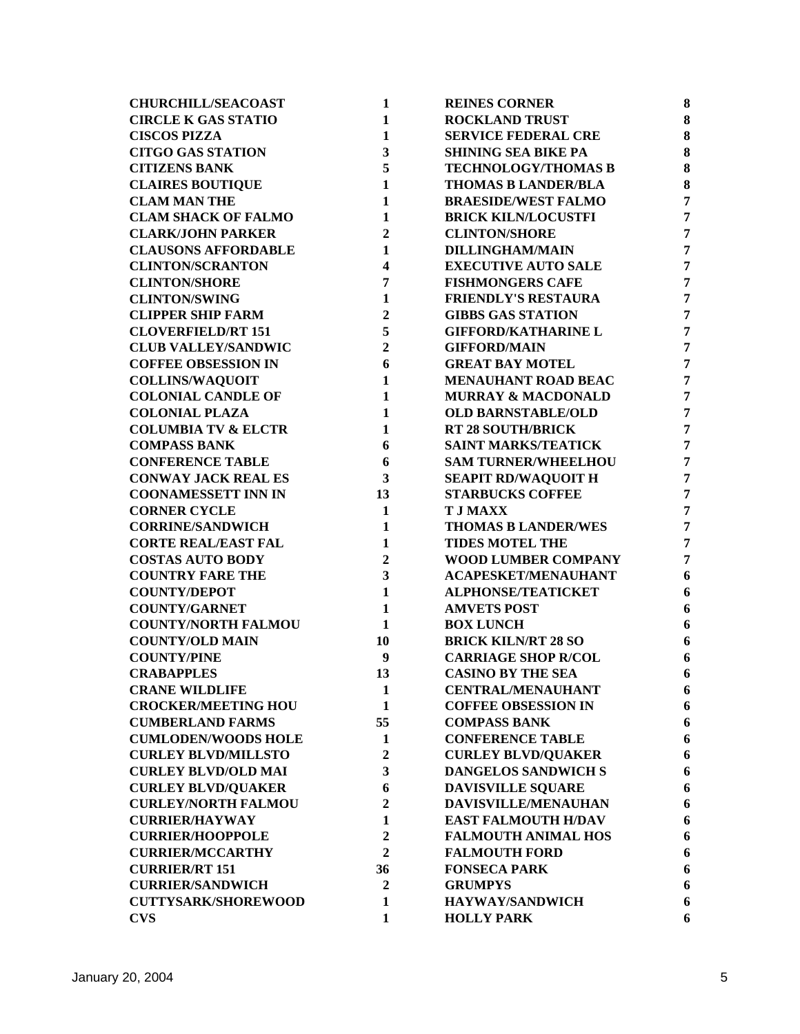| <b>CHURCHILL/SEACOAST</b>      | $\mathbf{1}$            | <b>REINES CORNER</b>          | 8              |
|--------------------------------|-------------------------|-------------------------------|----------------|
| <b>CIRCLE K GAS STATIO</b>     | $\mathbf{1}$            | <b>ROCKLAND TRUST</b>         | 8              |
| <b>CISCOS PIZZA</b>            | $\mathbf{1}$            | <b>SERVICE FEDERAL CRE</b>    | 8              |
| <b>CITGO GAS STATION</b>       | 3                       | <b>SHINING SEA BIKE PA</b>    | 8              |
| <b>CITIZENS BANK</b>           | 5                       | <b>TECHNOLOGY/THOMAS B</b>    | 8              |
| <b>CLAIRES BOUTIQUE</b>        | $\mathbf{1}$            | <b>THOMAS B LANDER/BLA</b>    | 8              |
| <b>CLAM MAN THE</b>            | $\mathbf{1}$            | <b>BRAESIDE/WEST FALMO</b>    | $\overline{7}$ |
| <b>CLAM SHACK OF FALMO</b>     | $\mathbf{1}$            | <b>BRICK KILN/LOCUSTFI</b>    | $\overline{7}$ |
| <b>CLARK/JOHN PARKER</b>       | $\overline{2}$          | <b>CLINTON/SHORE</b>          | $\overline{7}$ |
| <b>CLAUSONS AFFORDABLE</b>     | $\mathbf{1}$            | <b>DILLINGHAM/MAIN</b>        | $\overline{7}$ |
| <b>CLINTON/SCRANTON</b>        | 4                       | <b>EXECUTIVE AUTO SALE</b>    | $\overline{7}$ |
| <b>CLINTON/SHORE</b>           | 7                       | <b>FISHMONGERS CAFE</b>       | $\overline{7}$ |
| <b>CLINTON/SWING</b>           | $\mathbf{1}$            | <b>FRIENDLY'S RESTAURA</b>    | $\overline{7}$ |
| <b>CLIPPER SHIP FARM</b>       | $\overline{2}$          | <b>GIBBS GAS STATION</b>      | $\overline{7}$ |
| <b>CLOVERFIELD/RT 151</b>      | 5                       | <b>GIFFORD/KATHARINE L</b>    | $\overline{7}$ |
| <b>CLUB VALLEY/SANDWIC</b>     | $\overline{2}$          | <b>GIFFORD/MAIN</b>           | $\overline{7}$ |
| <b>COFFEE OBSESSION IN</b>     | 6                       | <b>GREAT BAY MOTEL</b>        | $\overline{7}$ |
| <b>COLLINS/WAQUOIT</b>         | $\mathbf{1}$            | MENAUHANT ROAD BEAC           | $\overline{7}$ |
| <b>COLONIAL CANDLE OF</b>      | $\mathbf{1}$            | <b>MURRAY &amp; MACDONALD</b> | $\overline{7}$ |
| <b>COLONIAL PLAZA</b>          | $\mathbf{1}$            | <b>OLD BARNSTABLE/OLD</b>     | $\overline{7}$ |
| <b>COLUMBIA TV &amp; ELCTR</b> | $\mathbf{1}$            | <b>RT 28 SOUTH/BRICK</b>      | $\overline{7}$ |
| <b>COMPASS BANK</b>            | 6                       | <b>SAINT MARKS/TEATICK</b>    | $\overline{7}$ |
| <b>CONFERENCE TABLE</b>        | 6                       | <b>SAM TURNER/WHEELHOU</b>    | $\overline{7}$ |
| <b>CONWAY JACK REAL ES</b>     | 3                       | <b>SEAPIT RD/WAQUOIT H</b>    | $\overline{7}$ |
| <b>COONAMESSETT INN IN</b>     | 13                      | <b>STARBUCKS COFFEE</b>       | $\overline{7}$ |
| <b>CORNER CYCLE</b>            | $\mathbf{1}$            | <b>T J MAXX</b>               | $\overline{7}$ |
| <b>CORRINE/SANDWICH</b>        | $\mathbf{1}$            | <b>THOMAS B LANDER/WES</b>    | $\overline{7}$ |
| <b>CORTE REAL/EAST FAL</b>     | $\mathbf{1}$            | <b>TIDES MOTEL THE</b>        | $\overline{7}$ |
| <b>COSTAS AUTO BODY</b>        | $\overline{2}$          | WOOD LUMBER COMPANY           | $\overline{7}$ |
| <b>COUNTRY FARE THE</b>        | $\overline{\mathbf{3}}$ | <b>ACAPESKET/MENAUHANT</b>    | 6              |
| <b>COUNTY/DEPOT</b>            | $\mathbf{1}$            | <b>ALPHONSE/TEATICKET</b>     | 6              |
| <b>COUNTY/GARNET</b>           | $\mathbf{1}$            | <b>AMVETS POST</b>            | 6              |
| <b>COUNTY/NORTH FALMOU</b>     | 1                       | <b>BOX LUNCH</b>              | 6              |
| <b>COUNTY/OLD MAIN</b>         | 10                      | <b>BRICK KILN/RT 28 SO</b>    | 6              |
| <b>COUNTY/PINE</b>             | 9                       | <b>CARRIAGE SHOP R/COL</b>    | 6              |
| <b>CRABAPPLES</b>              | 13                      | <b>CASINO BY THE SEA</b>      | 6              |
| <b>CRANE WILDLIFE</b>          | 1                       | <b>CENTRAL/MENAUHANT</b>      | 6              |
| <b>CROCKER/MEETING HOU</b>     | $\mathbf{1}$            | <b>COFFEE OBSESSION IN</b>    | 6              |
| <b>CUMBERLAND FARMS</b>        | 55                      | <b>COMPASS BANK</b>           | 6              |
| <b>CUMLODEN/WOODS HOLE</b>     | 1                       | <b>CONFERENCE TABLE</b>       | 6              |
| <b>CURLEY BLVD/MILLSTO</b>     | $\mathbf{2}$            | <b>CURLEY BLVD/QUAKER</b>     | 6              |
| <b>CURLEY BLVD/OLD MAI</b>     | 3                       | <b>DANGELOS SANDWICH S</b>    | 6              |
| <b>CURLEY BLVD/QUAKER</b>      | 6                       | <b>DAVISVILLE SQUARE</b>      | 6              |
| <b>CURLEY/NORTH FALMOU</b>     | $\overline{2}$          | DAVISVILLE/MENAUHAN           | 6              |
| <b>CURRIER/HAYWAY</b>          | 1                       | <b>EAST FALMOUTH H/DAV</b>    | 6              |
| <b>CURRIER/HOOPPOLE</b>        | $\overline{2}$          | <b>FALMOUTH ANIMAL HOS</b>    | 6              |
| <b>CURRIER/MCCARTHY</b>        | $\overline{2}$          | <b>FALMOUTH FORD</b>          | 6              |
| <b>CURRIER/RT 151</b>          | 36                      | <b>FONSECA PARK</b>           | 6              |
| <b>CURRIER/SANDWICH</b>        | $\boldsymbol{2}$        | <b>GRUMPYS</b>                | 6              |
| <b>CUTTYSARK/SHOREWOOD</b>     | $\mathbf{1}$            | <b>HAYWAY/SANDWICH</b>        | 6              |
| <b>CVS</b>                     | 1                       | <b>HOLLY PARK</b>             | 6              |
|                                |                         |                               |                |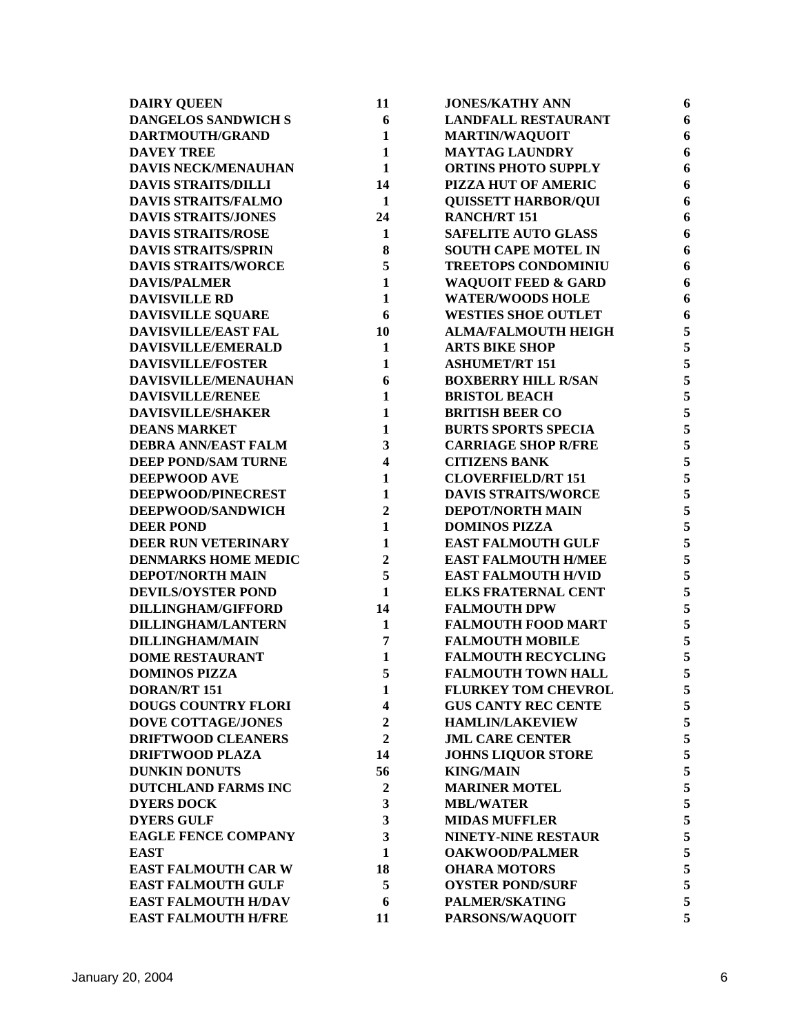| <b>DAIRY QUEEN</b>         | 11                      | <b>JONES/KATHY ANN</b>         | 6 |
|----------------------------|-------------------------|--------------------------------|---|
| <b>DANGELOS SANDWICH S</b> | 6                       | <b>LANDFALL RESTAURANT</b>     | 6 |
| DARTMOUTH/GRAND            | $\mathbf{1}$            | <b>MARTIN/WAQUOIT</b>          | 6 |
| <b>DAVEY TREE</b>          | $\mathbf{1}$            | <b>MAYTAG LAUNDRY</b>          | 6 |
| <b>DAVIS NECK/MENAUHAN</b> | $\mathbf{1}$            | <b>ORTINS PHOTO SUPPLY</b>     | 6 |
| <b>DAVIS STRAITS/DILLI</b> | 14                      | PIZZA HUT OF AMERIC            | 6 |
| <b>DAVIS STRAITS/FALMO</b> | $\mathbf{1}$            | <b>QUISSETT HARBOR/QUI</b>     | 6 |
| <b>DAVIS STRAITS/JONES</b> | 24                      | <b>RANCH/RT 151</b>            | 6 |
| <b>DAVIS STRAITS/ROSE</b>  | 1                       | <b>SAFELITE AUTO GLASS</b>     | 6 |
| <b>DAVIS STRAITS/SPRIN</b> | 8                       | <b>SOUTH CAPE MOTEL IN</b>     | 6 |
| <b>DAVIS STRAITS/WORCE</b> | 5                       | <b>TREETOPS CONDOMINIU</b>     | 6 |
| <b>DAVIS/PALMER</b>        | $\mathbf{1}$            | <b>WAQUOIT FEED &amp; GARD</b> | 6 |
| <b>DAVISVILLE RD</b>       | $\mathbf{1}$            | <b>WATER/WOODS HOLE</b>        | 6 |
| DAVISVILLE SQUARE          | 6                       | <b>WESTIES SHOE OUTLET</b>     | 6 |
| <b>DAVISVILLE/EAST FAL</b> | 10                      | <b>ALMA/FALMOUTH HEIGH</b>     | 5 |
| DAVISVILLE/EMERALD         | $\mathbf{1}$            | <b>ARTS BIKE SHOP</b>          | 5 |
| <b>DAVISVILLE/FOSTER</b>   | $\mathbf{1}$            | <b>ASHUMET/RT 151</b>          | 5 |
| DAVISVILLE/MENAUHAN        | 6                       | <b>BOXBERRY HILL R/SAN</b>     | 5 |
| <b>DAVISVILLE/RENEE</b>    | 1                       | <b>BRISTOL BEACH</b>           | 5 |
| <b>DAVISVILLE/SHAKER</b>   | $\mathbf{1}$            | <b>BRITISH BEER CO</b>         | 5 |
| <b>DEANS MARKET</b>        | $\mathbf{1}$            | <b>BURTS SPORTS SPECIA</b>     | 5 |
| <b>DEBRA ANN/EAST FALM</b> | 3                       | <b>CARRIAGE SHOP R/FRE</b>     | 5 |
| <b>DEEP POND/SAM TURNE</b> | $\overline{\mathbf{4}}$ | <b>CITIZENS BANK</b>           | 5 |
| <b>DEEPWOOD AVE</b>        | $\mathbf{1}$            | <b>CLOVERFIELD/RT 151</b>      | 5 |
| DEEPWOOD/PINECREST         | $\mathbf{1}$            | <b>DAVIS STRAITS/WORCE</b>     | 5 |
| DEEPWOOD/SANDWICH          | $\overline{2}$          | DEPOT/NORTH MAIN               | 5 |
| <b>DEER POND</b>           | $\mathbf{1}$            | <b>DOMINOS PIZZA</b>           | 5 |
| DEER RUN VETERINARY        | $\mathbf{1}$            | <b>EAST FALMOUTH GULF</b>      | 5 |
| <b>DENMARKS HOME MEDIC</b> | $\mathbf{2}$            | <b>EAST FALMOUTH H/MEE</b>     | 5 |
| <b>DEPOT/NORTH MAIN</b>    | 5                       | <b>EAST FALMOUTH H/VID</b>     | 5 |
| <b>DEVILS/OYSTER POND</b>  | $\mathbf{1}$            | <b>ELKS FRATERNAL CENT</b>     | 5 |
| <b>DILLINGHAM/GIFFORD</b>  | 14                      | <b>FALMOUTH DPW</b>            | 5 |
| <b>DILLINGHAM/LANTERN</b>  | 1                       | <b>FALMOUTH FOOD MART</b>      | 5 |
| <b>DILLINGHAM/MAIN</b>     | 7                       | <b>FALMOUTH MOBILE</b>         | 5 |
| <b>DOME RESTAURANT</b>     | 1                       | <b>FALMOUTH RECYCLING</b>      | 5 |
| <b>DOMINOS PIZZA</b>       | 5                       | <b>FALMOUTH TOWN HALL</b>      | 5 |
| <b>DORAN/RT 151</b>        | 1                       | <b>FLURKEY TOM CHEVROL</b>     | 5 |
| <b>DOUGS COUNTRY FLORI</b> | $\overline{\mathbf{4}}$ | <b>GUS CANTY REC CENTE</b>     | 5 |
| <b>DOVE COTTAGE/JONES</b>  | $\overline{2}$          | <b>HAMLIN/LAKEVIEW</b>         | 5 |
| <b>DRIFTWOOD CLEANERS</b>  | $\overline{2}$          | <b>JML CARE CENTER</b>         | 5 |
| <b>DRIFTWOOD PLAZA</b>     | 14                      | <b>JOHNS LIQUOR STORE</b>      | 5 |
| <b>DUNKIN DONUTS</b>       | 56                      | <b>KING/MAIN</b>               | 5 |
| <b>DUTCHLAND FARMS INC</b> | $\boldsymbol{2}$        | <b>MARINER MOTEL</b>           | 5 |
| <b>DYERS DOCK</b>          | 3                       | <b>MBL/WATER</b>               | 5 |
| <b>DYERS GULF</b>          | 3                       | <b>MIDAS MUFFLER</b>           | 5 |
| <b>EAGLE FENCE COMPANY</b> | 3                       | NINETY-NINE RESTAUR            | 5 |
| <b>EAST</b>                | 1                       | <b>OAKWOOD/PALMER</b>          | 5 |
| <b>EAST FALMOUTH CAR W</b> | 18                      | <b>OHARA MOTORS</b>            | 5 |
| <b>EAST FALMOUTH GULF</b>  | 5                       | <b>OYSTER POND/SURF</b>        | 5 |
| <b>EAST FALMOUTH H/DAV</b> | 6                       | <b>PALMER/SKATING</b>          | 5 |
| <b>EAST FALMOUTH H/FRE</b> | 11                      | PARSONS/WAQUOIT                | 5 |
|                            |                         |                                |   |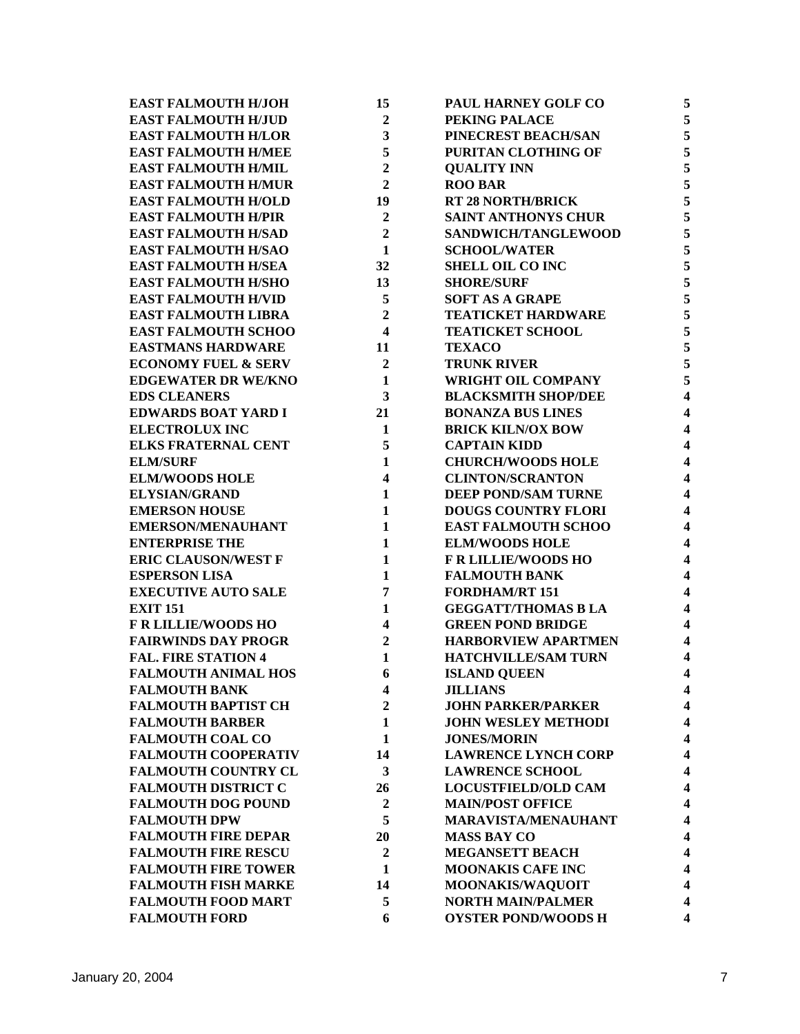| <b>EAST FALMOUTH H/JOH</b>     | 15                      | PAUL HARNEY GOLF CO        | 5                       |
|--------------------------------|-------------------------|----------------------------|-------------------------|
| <b>EAST FALMOUTH H/JUD</b>     | $\overline{2}$          | PEKING PALACE              | 5                       |
| <b>EAST FALMOUTH H/LOR</b>     | 3                       | PINECREST BEACH/SAN        | 5                       |
| <b>EAST FALMOUTH H/MEE</b>     | 5                       | PURITAN CLOTHING OF        | 5                       |
| <b>EAST FALMOUTH H/MIL</b>     | $\overline{2}$          | <b>QUALITY INN</b>         | 5                       |
| <b>EAST FALMOUTH H/MUR</b>     | $\overline{2}$          | <b>ROO BAR</b>             | 5                       |
| <b>EAST FALMOUTH H/OLD</b>     | 19                      | <b>RT 28 NORTH/BRICK</b>   | 5                       |
| <b>EAST FALMOUTH H/PIR</b>     | $\overline{2}$          | <b>SAINT ANTHONYS CHUR</b> | 5                       |
| <b>EAST FALMOUTH H/SAD</b>     | $\overline{2}$          | SANDWICH/TANGLEWOOD        | 5                       |
| <b>EAST FALMOUTH H/SAO</b>     | $\mathbf{1}$            | <b>SCHOOL/WATER</b>        | 5                       |
| <b>EAST FALMOUTH H/SEA</b>     | 32                      | <b>SHELL OIL CO INC</b>    | 5                       |
| <b>EAST FALMOUTH H/SHO</b>     | 13                      | <b>SHORE/SURF</b>          | 5                       |
| <b>EAST FALMOUTH H/VID</b>     | 5                       | <b>SOFT AS A GRAPE</b>     | 5                       |
| <b>EAST FALMOUTH LIBRA</b>     | $\overline{2}$          | <b>TEATICKET HARDWARE</b>  | 5                       |
| <b>EAST FALMOUTH SCHOO</b>     | $\overline{\mathbf{4}}$ | <b>TEATICKET SCHOOL</b>    | 5                       |
| <b>EASTMANS HARDWARE</b>       | 11                      | <b>TEXACO</b>              | 5                       |
| <b>ECONOMY FUEL &amp; SERV</b> | $\overline{2}$          | <b>TRUNK RIVER</b>         | 5                       |
| <b>EDGEWATER DR WE/KNO</b>     | $\mathbf{1}$            | WRIGHT OIL COMPANY         | 5                       |
| <b>EDS CLEANERS</b>            | 3                       | <b>BLACKSMITH SHOP/DEE</b> | $\overline{\mathbf{4}}$ |
| <b>EDWARDS BOAT YARD I</b>     | 21                      | <b>BONANZA BUS LINES</b>   | $\overline{\mathbf{4}}$ |
| <b>ELECTROLUX INC</b>          | 1                       | <b>BRICK KILN/OX BOW</b>   | $\overline{\mathbf{4}}$ |
| <b>ELKS FRATERNAL CENT</b>     | 5                       | <b>CAPTAIN KIDD</b>        | $\overline{\mathbf{4}}$ |
| <b>ELM/SURF</b>                | $\mathbf{1}$            | <b>CHURCH/WOODS HOLE</b>   | $\overline{\mathbf{4}}$ |
| <b>ELM/WOODS HOLE</b>          | 4                       | <b>CLINTON/SCRANTON</b>    | $\overline{\mathbf{4}}$ |
| <b>ELYSIAN/GRAND</b>           | $\mathbf{1}$            | <b>DEEP POND/SAM TURNE</b> | $\overline{\mathbf{4}}$ |
| <b>EMERSON HOUSE</b>           | $\mathbf{1}$            | <b>DOUGS COUNTRY FLORI</b> | $\overline{\mathbf{4}}$ |
| <b>EMERSON/MENAUHANT</b>       | $\mathbf{1}$            | <b>EAST FALMOUTH SCHOO</b> | $\overline{\mathbf{4}}$ |
| <b>ENTERPRISE THE</b>          | $\mathbf{1}$            | <b>ELM/WOODS HOLE</b>      | $\overline{\mathbf{4}}$ |
| <b>ERIC CLAUSON/WEST F</b>     | $\mathbf{1}$            | <b>F R LILLIE/WOODS HO</b> | $\overline{\mathbf{4}}$ |
| <b>ESPERSON LISA</b>           | $\mathbf{1}$            | <b>FALMOUTH BANK</b>       | $\overline{\mathbf{4}}$ |
| <b>EXECUTIVE AUTO SALE</b>     | 7                       | <b>FORDHAM/RT 151</b>      | $\overline{\mathbf{4}}$ |
| <b>EXIT 151</b>                | 1                       | <b>GEGGATT/THOMAS B LA</b> | $\overline{\mathbf{4}}$ |
| <b>F R LILLIE/WOODS HO</b>     | $\overline{\mathbf{4}}$ | <b>GREEN POND BRIDGE</b>   | $\overline{\mathbf{4}}$ |
| <b>FAIRWINDS DAY PROGR</b>     | $\boldsymbol{2}$        | <b>HARBORVIEW APARTMEN</b> | $\overline{\mathbf{4}}$ |
| <b>FAL. FIRE STATION 4</b>     | 1                       | <b>HATCHVILLE/SAM TURN</b> | $\overline{\mathbf{4}}$ |
| <b>FALMOUTH ANIMAL HOS</b>     | 6                       | <b>ISLAND QUEEN</b>        | $\overline{\mathbf{4}}$ |
| <b>FALMOUTH BANK</b>           | $\overline{\mathbf{4}}$ | <b>JILLIANS</b>            | 4                       |
| <b>FALMOUTH BAPTIST CH</b>     | $\overline{2}$          | <b>JOHN PARKER/PARKER</b>  | 4                       |
| <b>FALMOUTH BARBER</b>         | $\mathbf{1}$            | <b>JOHN WESLEY METHODI</b> | 4                       |
| <b>FALMOUTH COAL CO</b>        | $\mathbf{1}$            | <b>JONES/MORIN</b>         | 4                       |
| <b>FALMOUTH COOPERATIV</b>     | 14                      | <b>LAWRENCE LYNCH CORP</b> | 4                       |
| <b>FALMOUTH COUNTRY CL</b>     | 3                       | <b>LAWRENCE SCHOOL</b>     | 4                       |
| <b>FALMOUTH DISTRICT C</b>     | 26                      | <b>LOCUSTFIELD/OLD CAM</b> | 4                       |
| <b>FALMOUTH DOG POUND</b>      | $\boldsymbol{2}$        | <b>MAIN/POST OFFICE</b>    | 4                       |
| <b>FALMOUTH DPW</b>            | 5                       | <b>MARAVISTA/MENAUHANT</b> | 4                       |
| <b>FALMOUTH FIRE DEPAR</b>     | 20                      | <b>MASS BAY CO</b>         | 4                       |
| <b>FALMOUTH FIRE RESCU</b>     | $\boldsymbol{2}$        | <b>MEGANSETT BEACH</b>     | 4                       |
| <b>FALMOUTH FIRE TOWER</b>     | 1                       | <b>MOONAKIS CAFE INC</b>   | 4                       |
| <b>FALMOUTH FISH MARKE</b>     | 14                      | MOONAKIS/WAQUOIT           | $\overline{\mathbf{4}}$ |
| <b>FALMOUTH FOOD MART</b>      | 5                       | <b>NORTH MAIN/PALMER</b>   | 4                       |
| <b>FALMOUTH FORD</b>           | 6                       | <b>OYSTER POND/WOODS H</b> | $\overline{\mathbf{4}}$ |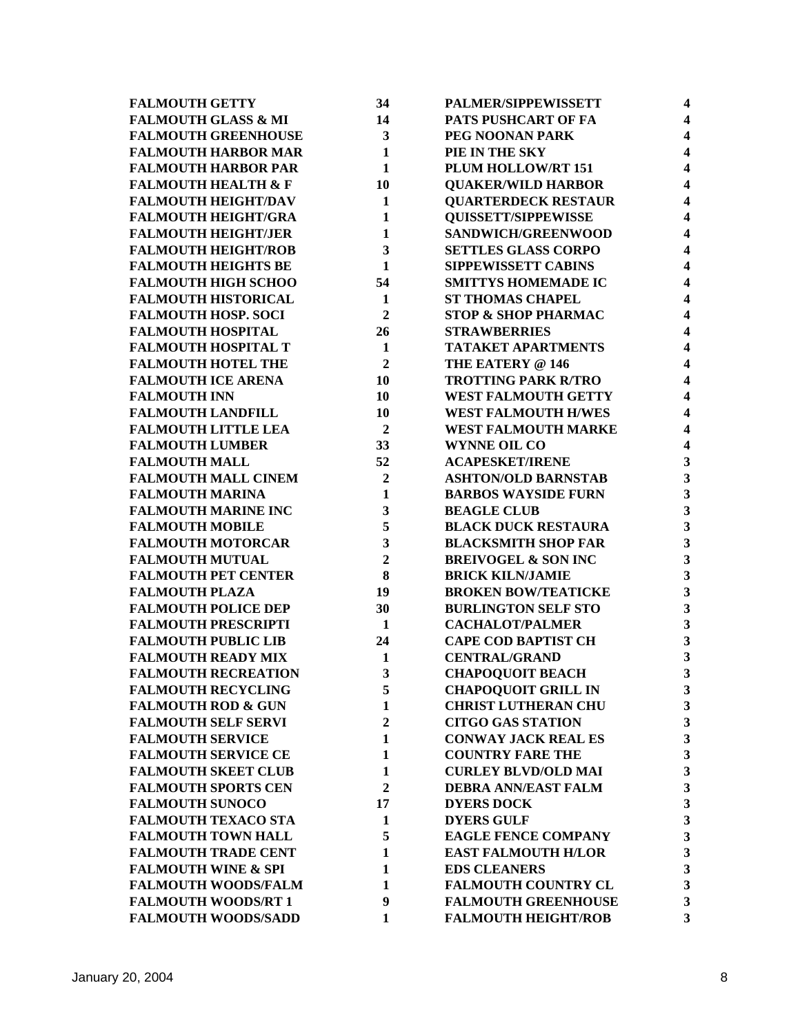| <b>FALMOUTH GETTY</b>          | 34             | PALMER/SIPPEWISSETT            | $\overline{\mathbf{4}}$ |
|--------------------------------|----------------|--------------------------------|-------------------------|
| <b>FALMOUTH GLASS &amp; MI</b> | 14             | PATS PUSHCART OF FA            | $\overline{\mathbf{4}}$ |
| <b>FALMOUTH GREENHOUSE</b>     | 3              | PEG NOONAN PARK                | $\overline{\mathbf{4}}$ |
| <b>FALMOUTH HARBOR MAR</b>     | $\mathbf{1}$   | PIE IN THE SKY                 | $\overline{\mathbf{4}}$ |
| <b>FALMOUTH HARBOR PAR</b>     | $\mathbf{1}$   | PLUM HOLLOW/RT 151             | $\overline{\mathbf{4}}$ |
| <b>FALMOUTH HEALTH &amp; F</b> | 10             | <b>QUAKER/WILD HARBOR</b>      | 4                       |
| <b>FALMOUTH HEIGHT/DAV</b>     | $\mathbf{1}$   | <b>QUARTERDECK RESTAUR</b>     | $\overline{\mathbf{4}}$ |
| <b>FALMOUTH HEIGHT/GRA</b>     | $\mathbf{1}$   | <b>QUISSETT/SIPPEWISSE</b>     | $\overline{\mathbf{4}}$ |
| <b>FALMOUTH HEIGHT/JER</b>     | $\mathbf{1}$   | SANDWICH/GREENWOOD             | $\overline{\mathbf{4}}$ |
| <b>FALMOUTH HEIGHT/ROB</b>     | 3              | <b>SETTLES GLASS CORPO</b>     | $\overline{\mathbf{4}}$ |
| <b>FALMOUTH HEIGHTS BE</b>     | $\mathbf{1}$   | <b>SIPPEWISSETT CABINS</b>     | $\overline{\mathbf{4}}$ |
| <b>FALMOUTH HIGH SCHOO</b>     | 54             | <b>SMITTYS HOMEMADE IC</b>     | 4                       |
| <b>FALMOUTH HISTORICAL</b>     | $\mathbf{1}$   | <b>ST THOMAS CHAPEL</b>        | $\overline{\mathbf{4}}$ |
| <b>FALMOUTH HOSP. SOCI</b>     | $\overline{2}$ | <b>STOP &amp; SHOP PHARMAC</b> | $\overline{\mathbf{4}}$ |
| <b>FALMOUTH HOSPITAL</b>       | 26             | <b>STRAWBERRIES</b>            | $\overline{\mathbf{4}}$ |
| <b>FALMOUTH HOSPITAL T</b>     | $\mathbf{1}$   | <b>TATAKET APARTMENTS</b>      | 4                       |
| <b>FALMOUTH HOTEL THE</b>      | $\overline{2}$ | THE EATERY @ 146               | $\overline{\mathbf{4}}$ |
| <b>FALMOUTH ICE ARENA</b>      | 10             | <b>TROTTING PARK R/TRO</b>     | $\overline{\mathbf{4}}$ |
| <b>FALMOUTH INN</b>            | 10             | <b>WEST FALMOUTH GETTY</b>     | 4                       |
| <b>FALMOUTH LANDFILL</b>       | 10             | <b>WEST FALMOUTH H/WES</b>     | 4                       |
| <b>FALMOUTH LITTLE LEA</b>     | $\overline{2}$ | <b>WEST FALMOUTH MARKE</b>     | $\overline{\mathbf{4}}$ |
| <b>FALMOUTH LUMBER</b>         | 33             | <b>WYNNE OIL CO</b>            | $\overline{\mathbf{4}}$ |
| <b>FALMOUTH MALL</b>           | 52             | <b>ACAPESKET/IRENE</b>         | $\mathbf{3}$            |
| <b>FALMOUTH MALL CINEM</b>     | $\overline{2}$ | <b>ASHTON/OLD BARNSTAB</b>     | $\mathbf{3}$            |
| <b>FALMOUTH MARINA</b>         | $\mathbf{1}$   | <b>BARBOS WAYSIDE FURN</b>     | 3                       |
| <b>FALMOUTH MARINE INC</b>     | 3              | <b>BEAGLE CLUB</b>             | $\mathbf{3}$            |
| <b>FALMOUTH MOBILE</b>         | 5              | <b>BLACK DUCK RESTAURA</b>     | $\overline{\mathbf{3}}$ |
| <b>FALMOUTH MOTORCAR</b>       | 3              | <b>BLACKSMITH SHOP FAR</b>     | $\overline{\mathbf{3}}$ |
| <b>FALMOUTH MUTUAL</b>         | $\overline{2}$ | <b>BREIVOGEL &amp; SON INC</b> | $\overline{\mathbf{3}}$ |
| <b>FALMOUTH PET CENTER</b>     | 8              | <b>BRICK KILN/JAMIE</b>        | $\overline{\mathbf{3}}$ |
| <b>FALMOUTH PLAZA</b>          | 19             | <b>BROKEN BOW/TEATICKE</b>     | $\overline{\mathbf{3}}$ |
| <b>FALMOUTH POLICE DEP</b>     | 30             | <b>BURLINGTON SELF STO</b>     | $\overline{\mathbf{3}}$ |
| <b>FALMOUTH PRESCRIPTI</b>     | 1              | <b>CACHALOT/PALMER</b>         | $\mathbf{3}$            |
| <b>FALMOUTH PUBLIC LIB</b>     | 24             | <b>CAPE COD BAPTIST CH</b>     | 3                       |
| <b>FALMOUTH READY MIX</b>      | 1              | <b>CENTRAL/GRAND</b>           | $\mathbf{3}$            |
| <b>FALMOUTH RECREATION</b>     | 3              | <b>CHAPOQUOIT BEACH</b>        | 3                       |
| <b>FALMOUTH RECYCLING</b>      | 5              | <b>CHAPOQUOIT GRILL IN</b>     | 3                       |
| <b>FALMOUTH ROD &amp; GUN</b>  | $\mathbf{1}$   | <b>CHRIST LUTHERAN CHU</b>     | $\mathbf{3}$            |
| <b>FALMOUTH SELF SERVI</b>     | $\overline{2}$ | <b>CITGO GAS STATION</b>       | 3                       |
| <b>FALMOUTH SERVICE</b>        | $\mathbf{1}$   | <b>CONWAY JACK REAL ES</b>     | 3                       |
| <b>FALMOUTH SERVICE CE</b>     | $\mathbf{1}$   | <b>COUNTRY FARE THE</b>        | $\mathbf{3}$            |
| <b>FALMOUTH SKEET CLUB</b>     | $\mathbf{1}$   | <b>CURLEY BLVD/OLD MAI</b>     | $\mathbf{3}$            |
| <b>FALMOUTH SPORTS CEN</b>     | $\overline{2}$ | <b>DEBRA ANN/EAST FALM</b>     | $\mathbf{3}$            |
| <b>FALMOUTH SUNOCO</b>         | 17             | <b>DYERS DOCK</b>              | $\mathbf{3}$            |
| <b>FALMOUTH TEXACO STA</b>     | 1              | <b>DYERS GULF</b>              | $\overline{\mathbf{3}}$ |
| <b>FALMOUTH TOWN HALL</b>      | 5              | <b>EAGLE FENCE COMPANY</b>     | 3                       |
| <b>FALMOUTH TRADE CENT</b>     | 1              | <b>EAST FALMOUTH H/LOR</b>     | $\mathbf{3}$            |
| <b>FALMOUTH WINE &amp; SPI</b> | $\mathbf{1}$   | <b>EDS CLEANERS</b>            | $\mathbf{3}$            |
| <b>FALMOUTH WOODS/FALM</b>     | 1              | <b>FALMOUTH COUNTRY CL</b>     | $\mathbf{3}$            |
| <b>FALMOUTH WOODS/RT 1</b>     | 9              | <b>FALMOUTH GREENHOUSE</b>     | 3                       |
| <b>FALMOUTH WOODS/SADD</b>     | $\mathbf{1}$   | <b>FALMOUTH HEIGHT/ROB</b>     | 3                       |
|                                |                |                                |                         |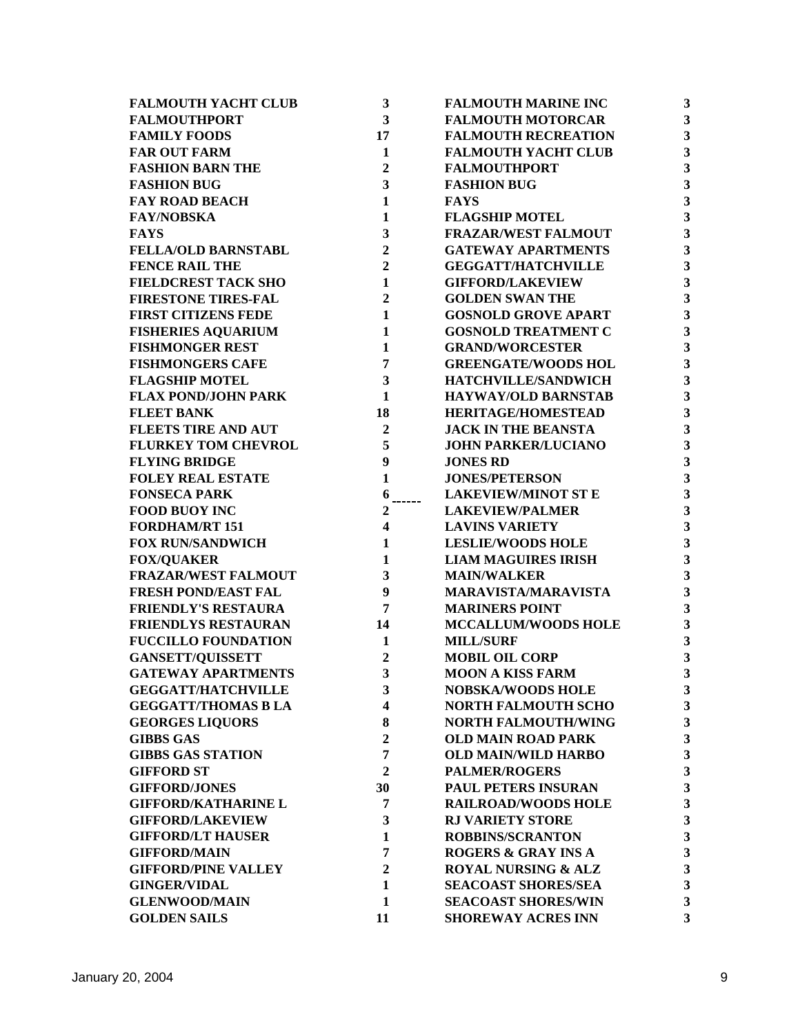| <b>FALMOUTH YACHT CLUB</b> | $\mathbf{3}$            | <b>FALMOUTH MARINE INC</b>     | 3                       |
|----------------------------|-------------------------|--------------------------------|-------------------------|
| <b>FALMOUTHPORT</b>        | $\overline{\mathbf{3}}$ | <b>FALMOUTH MOTORCAR</b>       | $\overline{\mathbf{3}}$ |
| <b>FAMILY FOODS</b>        | 17                      | <b>FALMOUTH RECREATION</b>     | $\overline{\mathbf{3}}$ |
| <b>FAR OUT FARM</b>        | $\mathbf{1}$            | <b>FALMOUTH YACHT CLUB</b>     | $\overline{\mathbf{3}}$ |
| <b>FASHION BARN THE</b>    | $\overline{2}$          | <b>FALMOUTHPORT</b>            | $\overline{\mathbf{3}}$ |
| <b>FASHION BUG</b>         | 3                       | <b>FASHION BUG</b>             | $\overline{\mathbf{3}}$ |
| <b>FAY ROAD BEACH</b>      | $\mathbf{1}$            | <b>FAYS</b>                    | $\mathbf{3}$            |
| <b>FAY/NOBSKA</b>          | 1                       | <b>FLAGSHIP MOTEL</b>          | 3                       |
| <b>FAYS</b>                | 3                       | <b>FRAZAR/WEST FALMOUT</b>     | $\mathbf{3}$            |
| <b>FELLA/OLD BARNSTABL</b> | $\overline{2}$          | <b>GATEWAY APARTMENTS</b>      | 3                       |
| <b>FENCE RAIL THE</b>      | $\overline{2}$          | <b>GEGGATT/HATCHVILLE</b>      | 3                       |
| <b>FIELDCREST TACK SHO</b> | $\mathbf{1}$            | <b>GIFFORD/LAKEVIEW</b>        | 3                       |
| <b>FIRESTONE TIRES-FAL</b> | $\overline{2}$          | <b>GOLDEN SWAN THE</b>         | 3                       |
| <b>FIRST CITIZENS FEDE</b> | $\mathbf{1}$            | <b>GOSNOLD GROVE APART</b>     | $\overline{\mathbf{3}}$ |
| <b>FISHERIES AQUARIUM</b>  | $\mathbf{1}$            | <b>GOSNOLD TREATMENT C</b>     | $\mathbf{3}$            |
| <b>FISHMONGER REST</b>     | $\mathbf{1}$            | <b>GRAND/WORCESTER</b>         | $\mathbf{3}$            |
| <b>FISHMONGERS CAFE</b>    | $\overline{7}$          | <b>GREENGATE/WOODS HOL</b>     | $\overline{\mathbf{3}}$ |
| <b>FLAGSHIP MOTEL</b>      | $\mathbf{3}$            | HATCHVILLE/SANDWICH            | $\mathbf{3}$            |
| <b>FLAX POND/JOHN PARK</b> | $\mathbf{1}$            | <b>HAYWAY/OLD BARNSTAB</b>     | $\mathbf{3}$            |
| <b>FLEET BANK</b>          | 18                      | <b>HERITAGE/HOMESTEAD</b>      | 3                       |
| <b>FLEETS TIRE AND AUT</b> | $\boldsymbol{2}$        | <b>JACK IN THE BEANSTA</b>     | 3                       |
| <b>FLURKEY TOM CHEVROL</b> | 5                       | <b>JOHN PARKER/LUCIANO</b>     | $\mathbf{3}$            |
| <b>FLYING BRIDGE</b>       | 9                       | <b>JONES RD</b>                | 3                       |
| <b>FOLEY REAL ESTATE</b>   | $\mathbf{1}$            | <b>JONES/PETERSON</b>          | $\mathbf{3}$            |
| <b>FONSECA PARK</b>        | 6                       | <b>LAKEVIEW/MINOT ST E</b>     | $\mathbf{3}$            |
| <b>FOOD BUOY INC</b>       | 2                       | <b>LAKEVIEW/PALMER</b>         | $\overline{\mathbf{3}}$ |
| <b>FORDHAM/RT 151</b>      | $\overline{\mathbf{4}}$ | <b>LAVINS VARIETY</b>          | $\overline{\mathbf{3}}$ |
| <b>FOX RUN/SANDWICH</b>    | $\mathbf{1}$            | <b>LESLIE/WOODS HOLE</b>       | $\overline{\mathbf{3}}$ |
| <b>FOX/QUAKER</b>          | $\mathbf{1}$            | <b>LIAM MAGUIRES IRISH</b>     | $\overline{\mathbf{3}}$ |
| <b>FRAZAR/WEST FALMOUT</b> | $\mathbf{3}$            | <b>MAIN/WALKER</b>             | $\overline{\mathbf{3}}$ |
| <b>FRESH POND/EAST FAL</b> | $\boldsymbol{9}$        | <b>MARAVISTA/MARAVISTA</b>     | $\overline{\mathbf{3}}$ |
| <b>FRIENDLY'S RESTAURA</b> | $\overline{7}$          | <b>MARINERS POINT</b>          | 3                       |
| <b>FRIENDLYS RESTAURAN</b> | 14                      | <b>MCCALLUM/WOODS HOLE</b>     | $\mathbf{3}$            |
| <b>FUCCILLO FOUNDATION</b> | 1                       | <b>MILL/SURF</b>               | 3                       |
| <b>GANSETT/QUISSETT</b>    | $\overline{2}$          | <b>MOBIL OIL CORP</b>          | 3                       |
| <b>GATEWAY APARTMENTS</b>  | 3                       | <b>MOON A KISS FARM</b>        | 3                       |
| <b>GEGGATT/HATCHVILLE</b>  | 3                       | <b>NOBSKA/WOODS HOLE</b>       | 3                       |
| <b>GEGGATT/THOMAS B LA</b> | $\overline{\mathbf{4}}$ | <b>NORTH FALMOUTH SCHO</b>     | 3                       |
| <b>GEORGES LIQUORS</b>     | 8                       | <b>NORTH FALMOUTH/WING</b>     | $\overline{\mathbf{3}}$ |
| <b>GIBBS GAS</b>           | $\overline{2}$          | <b>OLD MAIN ROAD PARK</b>      | 3                       |
| <b>GIBBS GAS STATION</b>   | $\overline{7}$          | <b>OLD MAIN/WILD HARBO</b>     | 3                       |
| <b>GIFFORD ST</b>          | $\overline{2}$          | <b>PALMER/ROGERS</b>           | $\overline{\mathbf{3}}$ |
| <b>GIFFORD/JONES</b>       | 30                      | <b>PAUL PETERS INSURAN</b>     | $\overline{\mathbf{3}}$ |
| <b>GIFFORD/KATHARINE L</b> | 7                       | <b>RAILROAD/WOODS HOLE</b>     | $\overline{\mathbf{3}}$ |
| <b>GIFFORD/LAKEVIEW</b>    | 3                       | <b>RJ VARIETY STORE</b>        | 3                       |
|                            |                         |                                |                         |
| <b>GIFFORD/LT HAUSER</b>   | 1                       | <b>ROBBINS/SCRANTON</b>        | 3                       |
| <b>GIFFORD/MAIN</b>        | 7<br>$\overline{2}$     | <b>ROGERS &amp; GRAY INS A</b> | 3                       |
| <b>GIFFORD/PINE VALLEY</b> |                         | <b>ROYAL NURSING &amp; ALZ</b> | 3                       |
| <b>GINGER/VIDAL</b>        | 1                       | <b>SEACOAST SHORES/SEA</b>     | 3                       |
| <b>GLENWOOD/MAIN</b>       | $\mathbf{1}$            | <b>SEACOAST SHORES/WIN</b>     | 3                       |
| <b>GOLDEN SAILS</b>        | 11                      | <b>SHOREWAY ACRES INN</b>      | 3                       |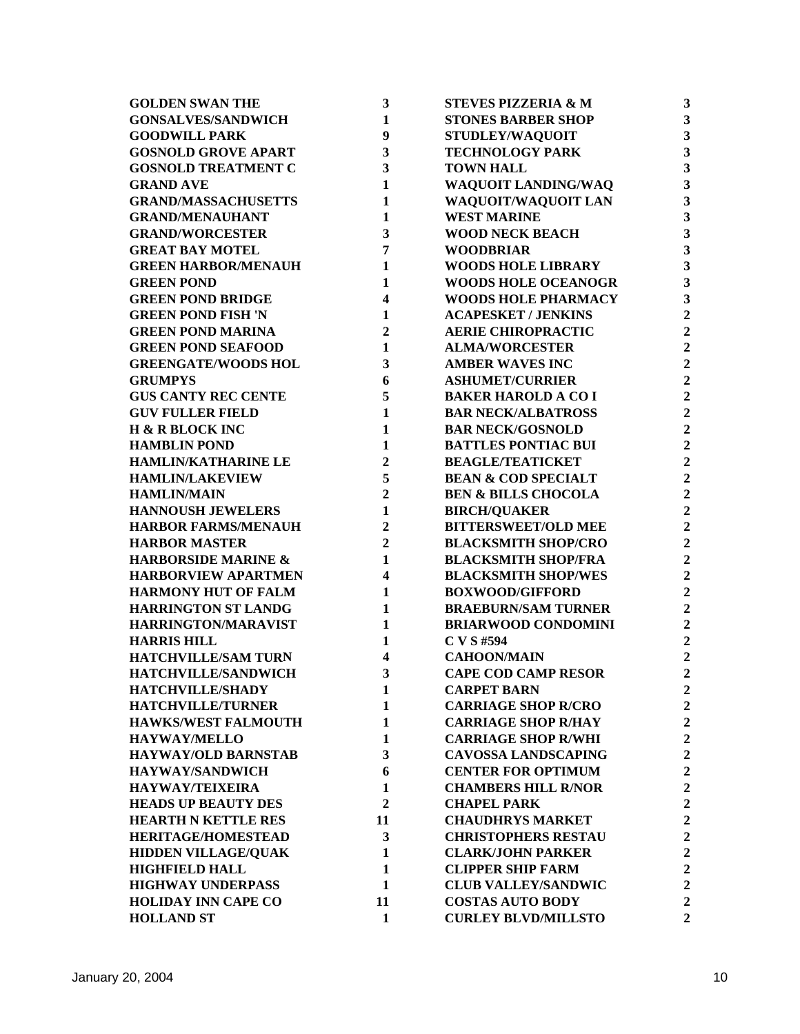| <b>GOLDEN SWAN THE</b>         | 3                       | <b>STEVES PIZZERIA &amp; M</b> | 3                       |
|--------------------------------|-------------------------|--------------------------------|-------------------------|
| <b>GONSALVES/SANDWICH</b>      | $\mathbf{1}$            | <b>STONES BARBER SHOP</b>      | $\overline{\mathbf{3}}$ |
| <b>GOODWILL PARK</b>           | 9                       | <b>STUDLEY/WAQUOIT</b>         | $\overline{\mathbf{3}}$ |
| <b>GOSNOLD GROVE APART</b>     | 3                       | <b>TECHNOLOGY PARK</b>         | $\overline{\mathbf{3}}$ |
| <b>GOSNOLD TREATMENT C</b>     | 3                       | <b>TOWN HALL</b>               | $\overline{\mathbf{3}}$ |
| <b>GRAND AVE</b>               | 1                       | WAQUOIT LANDING/WAQ            | 3                       |
| <b>GRAND/MASSACHUSETTS</b>     | 1                       | WAQUOIT/WAQUOIT LAN            | 3                       |
| <b>GRAND/MENAUHANT</b>         | 1                       | <b>WEST MARINE</b>             | 3                       |
| <b>GRAND/WORCESTER</b>         | 3                       | <b>WOOD NECK BEACH</b>         | 3                       |
| <b>GREAT BAY MOTEL</b>         | 7                       | <b>WOODBRIAR</b>               | 3                       |
| <b>GREEN HARBOR/MENAUH</b>     | 1                       | <b>WOODS HOLE LIBRARY</b>      | 3                       |
| <b>GREEN POND</b>              | 1                       | <b>WOODS HOLE OCEANOGR</b>     | $\overline{\mathbf{3}}$ |
| <b>GREEN POND BRIDGE</b>       | $\overline{\mathbf{4}}$ | <b>WOODS HOLE PHARMACY</b>     | $\overline{\mathbf{3}}$ |
| <b>GREEN POND FISH 'N</b>      | 1                       | <b>ACAPESKET / JENKINS</b>     | $\overline{2}$          |
| <b>GREEN POND MARINA</b>       | $\boldsymbol{2}$        | <b>AERIE CHIROPRACTIC</b>      | $\overline{2}$          |
| <b>GREEN POND SEAFOOD</b>      | $\mathbf{1}$            | <b>ALMA/WORCESTER</b>          | $\overline{2}$          |
| <b>GREENGATE/WOODS HOL</b>     | 3                       | <b>AMBER WAVES INC</b>         | $\overline{2}$          |
| <b>GRUMPYS</b>                 | 6                       | <b>ASHUMET/CURRIER</b>         | $\overline{2}$          |
| <b>GUS CANTY REC CENTE</b>     | 5                       | <b>BAKER HAROLD A CO I</b>     | $\overline{2}$          |
| <b>GUV FULLER FIELD</b>        | $\mathbf{1}$            | <b>BAR NECK/ALBATROSS</b>      | $\overline{2}$          |
| H & R BLOCK INC                | $\mathbf{1}$            | <b>BAR NECK/GOSNOLD</b>        | $\overline{2}$          |
| <b>HAMBLIN POND</b>            | $\mathbf{1}$            | <b>BATTLES PONTIAC BUI</b>     | $\overline{2}$          |
| HAMLIN/KATHARINE LE            | $\overline{2}$          | <b>BEAGLE/TEATICKET</b>        | $\overline{2}$          |
| <b>HAMLIN/LAKEVIEW</b>         | 5                       | <b>BEAN &amp; COD SPECIALT</b> | $\overline{2}$          |
| <b>HAMLIN/MAIN</b>             | $\overline{2}$          | <b>BEN &amp; BILLS CHOCOLA</b> | $\overline{2}$          |
| <b>HANNOUSH JEWELERS</b>       | $\mathbf{1}$            | <b>BIRCH/QUAKER</b>            | $\overline{2}$          |
| <b>HARBOR FARMS/MENAUH</b>     | $\overline{2}$          | <b>BITTERSWEET/OLD MEE</b>     | $\overline{2}$          |
| <b>HARBOR MASTER</b>           | $\overline{2}$          | <b>BLACKSMITH SHOP/CRO</b>     | $\overline{2}$          |
| <b>HARBORSIDE MARINE &amp;</b> | 1                       | <b>BLACKSMITH SHOP/FRA</b>     | $\overline{2}$          |
| <b>HARBORVIEW APARTMEN</b>     | 4                       | <b>BLACKSMITH SHOP/WES</b>     | $\overline{2}$          |
| <b>HARMONY HUT OF FALM</b>     | 1                       | <b>BOXWOOD/GIFFORD</b>         | $\overline{2}$          |
| <b>HARRINGTON ST LANDG</b>     | 1                       | <b>BRAEBURN/SAM TURNER</b>     | $\overline{2}$          |
| HARRINGTON/MARAVIST            | 1                       | <b>BRIARWOOD CONDOMINI</b>     | $\overline{2}$          |
| <b>HARRIS HILL</b>             | 1                       | C V S #594                     | $\overline{2}$          |
| <b>HATCHVILLE/SAM TURN</b>     | 4                       | <b>CAHOON/MAIN</b>             | $\overline{2}$          |
| HATCHVILLE/SANDWICH            | 3                       | <b>CAPE COD CAMP RESOR</b>     | $\overline{2}$          |
| HATCHVILLE/SHADY               | 1                       | <b>CARPET BARN</b>             | $\overline{2}$          |
| <b>HATCHVILLE/TURNER</b>       | 1                       | <b>CARRIAGE SHOP R/CRO</b>     | $\overline{2}$          |
| <b>HAWKS/WEST FALMOUTH</b>     | 1                       | <b>CARRIAGE SHOP R/HAY</b>     | $\overline{2}$          |
| <b>HAYWAY/MELLO</b>            | 1                       | <b>CARRIAGE SHOP R/WHI</b>     | $\overline{c}$          |
| <b>HAYWAY/OLD BARNSTAB</b>     | 3                       | <b>CAVOSSA LANDSCAPING</b>     | $\overline{2}$          |
| <b>HAYWAY/SANDWICH</b>         | 6                       | <b>CENTER FOR OPTIMUM</b>      | $\overline{2}$          |
| <b>HAYWAY/TEIXEIRA</b>         | 1                       | <b>CHAMBERS HILL R/NOR</b>     | $\overline{2}$          |
| <b>HEADS UP BEAUTY DES</b>     | $\overline{2}$          | <b>CHAPEL PARK</b>             | $\overline{2}$          |
| <b>HEARTH N KETTLE RES</b>     | 11                      | <b>CHAUDHRYS MARKET</b>        | $\overline{2}$          |
| <b>HERITAGE/HOMESTEAD</b>      | 3                       | <b>CHRISTOPHERS RESTAU</b>     | $\overline{2}$          |
| <b>HIDDEN VILLAGE/QUAK</b>     | 1                       | <b>CLARK/JOHN PARKER</b>       | $\overline{2}$          |
| <b>HIGHFIELD HALL</b>          | 1                       | <b>CLIPPER SHIP FARM</b>       | $\overline{2}$          |
| <b>HIGHWAY UNDERPASS</b>       | $\mathbf{1}$            | <b>CLUB VALLEY/SANDWIC</b>     | $\overline{2}$          |
| <b>HOLIDAY INN CAPE CO</b>     | 11                      | <b>COSTAS AUTO BODY</b>        | $\overline{2}$          |
| <b>HOLLAND ST</b>              | $\mathbf{1}$            | <b>CURLEY BLVD/MILLSTO</b>     | $\overline{2}$          |
|                                |                         |                                |                         |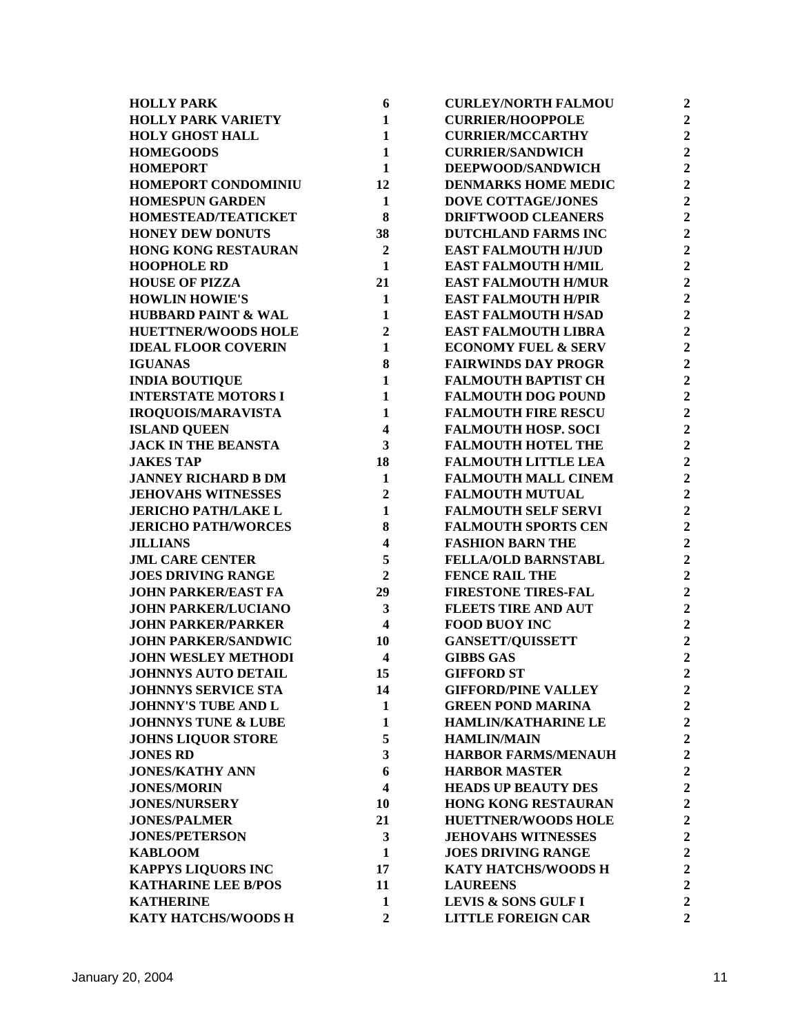| <b>HOLLY PARK</b>              | 6                       | <b>CURLEY/NORTH FALMOU</b>     | $\mathbf 2$             |
|--------------------------------|-------------------------|--------------------------------|-------------------------|
| <b>HOLLY PARK VARIETY</b>      | $\mathbf{1}$            | <b>CURRIER/HOOPPOLE</b>        | $\mathbf 2$             |
| <b>HOLY GHOST HALL</b>         | $\mathbf{1}$            | <b>CURRIER/MCCARTHY</b>        | $\overline{2}$          |
| <b>HOMEGOODS</b>               | $\mathbf{1}$            | <b>CURRIER/SANDWICH</b>        | $\overline{2}$          |
| <b>HOMEPORT</b>                | $\mathbf{1}$            | DEEPWOOD/SANDWICH              | $\overline{2}$          |
| HOMEPORT CONDOMINIU            | 12                      | <b>DENMARKS HOME MEDIC</b>     | $\overline{2}$          |
| <b>HOMESPUN GARDEN</b>         | $\mathbf{1}$            | <b>DOVE COTTAGE/JONES</b>      | $\overline{\mathbf{c}}$ |
| HOMESTEAD/TEATICKET            | 8                       | <b>DRIFTWOOD CLEANERS</b>      | $\mathbf 2$             |
| <b>HONEY DEW DONUTS</b>        | 38                      | <b>DUTCHLAND FARMS INC</b>     | $\overline{2}$          |
| <b>HONG KONG RESTAURAN</b>     | $\overline{2}$          | <b>EAST FALMOUTH H/JUD</b>     | $\overline{2}$          |
| <b>HOOPHOLE RD</b>             | $\mathbf{1}$            | <b>EAST FALMOUTH H/MIL</b>     | $\overline{2}$          |
| <b>HOUSE OF PIZZA</b>          | 21                      | <b>EAST FALMOUTH H/MUR</b>     | $\overline{2}$          |
| <b>HOWLIN HOWIE'S</b>          | $\mathbf{1}$            | <b>EAST FALMOUTH H/PIR</b>     | $\overline{2}$          |
| <b>HUBBARD PAINT &amp; WAL</b> | $\mathbf{1}$            | <b>EAST FALMOUTH H/SAD</b>     | $\overline{2}$          |
| <b>HUETTNER/WOODS HOLE</b>     | $\overline{2}$          | <b>EAST FALMOUTH LIBRA</b>     | $\overline{2}$          |
| <b>IDEAL FLOOR COVERIN</b>     | $\mathbf{1}$            | <b>ECONOMY FUEL &amp; SERV</b> | $\overline{2}$          |
| <b>IGUANAS</b>                 | 8                       | <b>FAIRWINDS DAY PROGR</b>     | $\overline{2}$          |
| <b>INDIA BOUTIQUE</b>          | $\mathbf{1}$            | <b>FALMOUTH BAPTIST CH</b>     | $\overline{2}$          |
| <b>INTERSTATE MOTORS I</b>     | $\mathbf{1}$            | <b>FALMOUTH DOG POUND</b>      | $\mathbf 2$             |
| <b>IROQUOIS/MARAVISTA</b>      | $\mathbf{1}$            | <b>FALMOUTH FIRE RESCU</b>     | $\overline{\mathbf{c}}$ |
| <b>ISLAND QUEEN</b>            | $\overline{\mathbf{4}}$ | <b>FALMOUTH HOSP. SOCI</b>     | $\overline{2}$          |
| <b>JACK IN THE BEANSTA</b>     | 3                       | <b>FALMOUTH HOTEL THE</b>      | $\overline{2}$          |
| <b>JAKES TAP</b>               | 18                      | <b>FALMOUTH LITTLE LEA</b>     | $\overline{2}$          |
| <b>JANNEY RICHARD B DM</b>     | $\mathbf{1}$            | <b>FALMOUTH MALL CINEM</b>     | $\overline{2}$          |
| <b>JEHOVAHS WITNESSES</b>      | $\overline{2}$          | <b>FALMOUTH MUTUAL</b>         | $\overline{2}$          |
| <b>JERICHO PATH/LAKE L</b>     | $\mathbf{1}$            | <b>FALMOUTH SELF SERVI</b>     | $\overline{2}$          |
| <b>JERICHO PATH/WORCES</b>     | 8                       | <b>FALMOUTH SPORTS CEN</b>     | $\overline{2}$          |
| <b>JILLIANS</b>                | $\overline{\mathbf{4}}$ | <b>FASHION BARN THE</b>        | $\overline{2}$          |
| <b>JML CARE CENTER</b>         | 5                       | <b>FELLA/OLD BARNSTABL</b>     | $\overline{2}$          |
| <b>JOES DRIVING RANGE</b>      | $\overline{2}$          | <b>FENCE RAIL THE</b>          | $\overline{2}$          |
| <b>JOHN PARKER/EAST FA</b>     | 29                      | <b>FIRESTONE TIRES-FAL</b>     | $\overline{\mathbf{c}}$ |
| <b>JOHN PARKER/LUCIANO</b>     | 3                       | <b>FLEETS TIRE AND AUT</b>     | $\overline{\mathbf{c}}$ |
| <b>JOHN PARKER/PARKER</b>      | $\overline{\mathbf{4}}$ | <b>FOOD BUOY INC</b>           | $\overline{\mathbf{c}}$ |
| <b>JOHN PARKER/SANDWIC</b>     | 10                      | <b>GANSETT/QUISSETT</b>        | $\overline{2}$          |
| <b>JOHN WESLEY METHODI</b>     | $\overline{\mathbf{4}}$ | <b>GIBBS GAS</b>               | $\overline{2}$          |
| <b>JOHNNYS AUTO DETAIL</b>     | 15                      | <b>GIFFORD ST</b>              | $\overline{2}$          |
| <b>JOHNNYS SERVICE STA</b>     | 14                      | <b>GIFFORD/PINE VALLEY</b>     | $\overline{2}$          |
| <b>JOHNNY'S TUBE AND L</b>     | 1                       | <b>GREEN POND MARINA</b>       | $\overline{2}$          |
| <b>JOHNNYS TUNE &amp; LUBE</b> | 1                       | <b>HAMLIN/KATHARINE LE</b>     | $\boldsymbol{2}$        |
| <b>JOHNS LIQUOR STORE</b>      | 5                       | <b>HAMLIN/MAIN</b>             | $\overline{2}$          |
| <b>JONES RD</b>                | 3                       | <b>HARBOR FARMS/MENAUH</b>     | $\overline{2}$          |
| <b>JONES/KATHY ANN</b>         | 6                       | <b>HARBOR MASTER</b>           | $\boldsymbol{2}$        |
| <b>JONES/MORIN</b>             | $\overline{\mathbf{4}}$ | <b>HEADS UP BEAUTY DES</b>     | $\overline{2}$          |
| <b>JONES/NURSERY</b>           | 10                      | <b>HONG KONG RESTAURAN</b>     | $\mathbf 2$             |
| <b>JONES/PALMER</b>            | 21                      | <b>HUETTNER/WOODS HOLE</b>     | $\overline{2}$          |
| <b>JONES/PETERSON</b>          | 3                       | <b>JEHOVAHS WITNESSES</b>      | $\overline{2}$          |
| <b>KABLOOM</b>                 | 1                       | <b>JOES DRIVING RANGE</b>      | $\overline{2}$          |
| <b>KAPPYS LIQUORS INC</b>      | 17                      | KATY HATCHS/WOODS H            | $\overline{2}$          |
| <b>KATHARINE LEE B/POS</b>     | 11                      | <b>LAUREENS</b>                | $\overline{2}$          |
| <b>KATHERINE</b>               | 1                       | LEVIS & SONS GULF I            | $\overline{2}$          |
| KATY HATCHS/WOODS H            | $\overline{2}$          | <b>LITTLE FOREIGN CAR</b>      | $\overline{2}$          |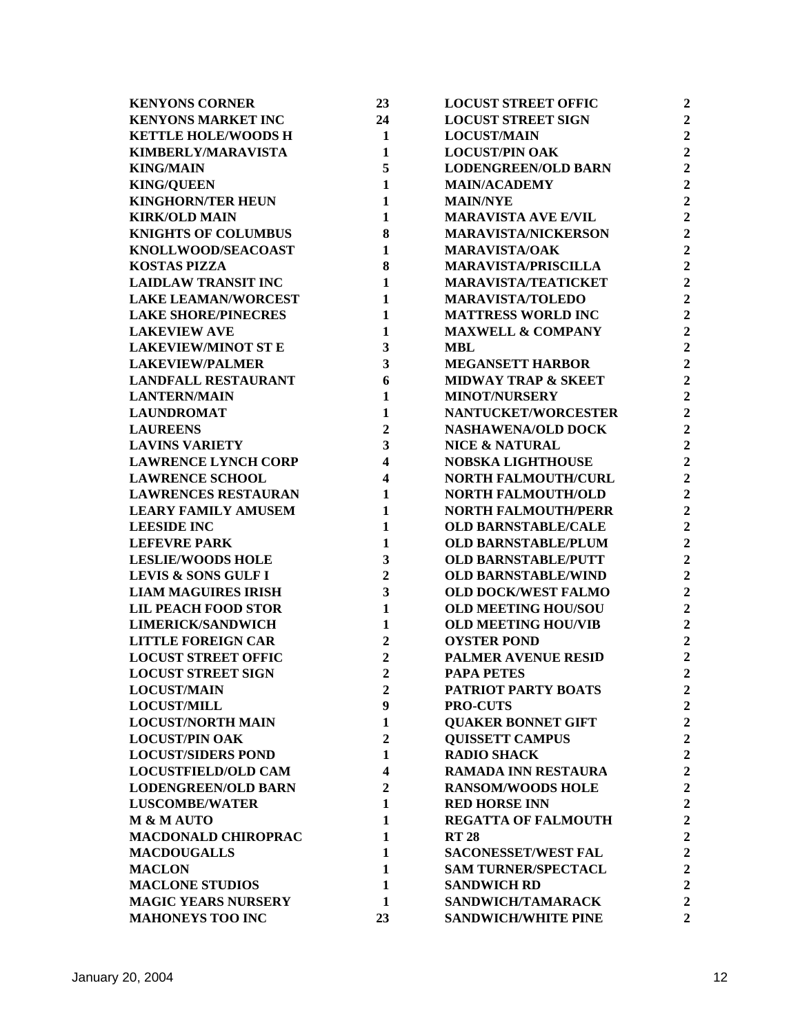| 23                      | <b>LOCUST STREET OFFIC</b>                           | $\overline{2}$                                                                                                                                                                                                                                                                                    |
|-------------------------|------------------------------------------------------|---------------------------------------------------------------------------------------------------------------------------------------------------------------------------------------------------------------------------------------------------------------------------------------------------|
| 24                      | <b>LOCUST STREET SIGN</b>                            | $\overline{2}$                                                                                                                                                                                                                                                                                    |
| 1                       | <b>LOCUST/MAIN</b>                                   | $\overline{2}$                                                                                                                                                                                                                                                                                    |
| $\mathbf{1}$            | <b>LOCUST/PIN OAK</b>                                | $\overline{2}$                                                                                                                                                                                                                                                                                    |
| 5                       | <b>LODENGREEN/OLD BARN</b>                           | $\overline{2}$                                                                                                                                                                                                                                                                                    |
| 1                       | <b>MAIN/ACADEMY</b>                                  | $\overline{2}$                                                                                                                                                                                                                                                                                    |
| 1                       | <b>MAIN/NYE</b>                                      | $\overline{c}$                                                                                                                                                                                                                                                                                    |
| 1                       | <b>MARAVISTA AVE E/VIL</b>                           | $\overline{2}$                                                                                                                                                                                                                                                                                    |
| 8                       | <b>MARAVISTA/NICKERSON</b>                           | $\overline{2}$                                                                                                                                                                                                                                                                                    |
| 1                       | <b>MARAVISTA/OAK</b>                                 | $\overline{2}$                                                                                                                                                                                                                                                                                    |
| 8                       | <b>MARAVISTA/PRISCILLA</b>                           | $\overline{2}$                                                                                                                                                                                                                                                                                    |
| 1                       | <b>MARAVISTA/TEATICKET</b>                           | $\overline{2}$                                                                                                                                                                                                                                                                                    |
| 1                       | <b>MARAVISTA/TOLEDO</b>                              | $\overline{2}$                                                                                                                                                                                                                                                                                    |
| $\mathbf{1}$            | <b>MATTRESS WORLD INC</b>                            | $\overline{2}$                                                                                                                                                                                                                                                                                    |
| 1                       | <b>MAXWELL &amp; COMPANY</b>                         | $\overline{2}$                                                                                                                                                                                                                                                                                    |
| 3                       | <b>MBL</b>                                           | $\overline{2}$                                                                                                                                                                                                                                                                                    |
| 3                       | <b>MEGANSETT HARBOR</b>                              | $\overline{2}$                                                                                                                                                                                                                                                                                    |
| 6                       | <b>MIDWAY TRAP &amp; SKEET</b>                       | $\overline{2}$                                                                                                                                                                                                                                                                                    |
| 1                       | <b>MINOT/NURSERY</b>                                 | $\overline{2}$                                                                                                                                                                                                                                                                                    |
| 1                       | <b>NANTUCKET/WORCESTER</b>                           | $\overline{2}$                                                                                                                                                                                                                                                                                    |
| $\boldsymbol{2}$        | <b>NASHAWENA/OLD DOCK</b>                            | $\overline{2}$                                                                                                                                                                                                                                                                                    |
| 3                       | <b>NICE &amp; NATURAL</b>                            | $\overline{2}$                                                                                                                                                                                                                                                                                    |
| $\overline{\mathbf{4}}$ | <b>NOBSKA LIGHTHOUSE</b>                             | $\overline{2}$                                                                                                                                                                                                                                                                                    |
| $\overline{\mathbf{4}}$ | <b>NORTH FALMOUTH/CURL</b>                           | $\overline{2}$                                                                                                                                                                                                                                                                                    |
| 1                       | <b>NORTH FALMOUTH/OLD</b>                            | $\overline{2}$                                                                                                                                                                                                                                                                                    |
| 1                       |                                                      | $\overline{2}$                                                                                                                                                                                                                                                                                    |
| 1                       | <b>OLD BARNSTABLE/CALE</b>                           | $\overline{2}$                                                                                                                                                                                                                                                                                    |
|                         |                                                      | $\overline{2}$                                                                                                                                                                                                                                                                                    |
|                         | <b>OLD BARNSTABLE/PUTT</b>                           | $\overline{2}$                                                                                                                                                                                                                                                                                    |
| $\overline{2}$          | <b>OLD BARNSTABLE/WIND</b>                           | $\overline{2}$                                                                                                                                                                                                                                                                                    |
|                         |                                                      | $\overline{c}$                                                                                                                                                                                                                                                                                    |
| 1                       | <b>OLD MEETING HOU/SOU</b>                           | $\overline{c}$                                                                                                                                                                                                                                                                                    |
| 1                       | <b>OLD MEETING HOU/VIB</b>                           | $\overline{2}$                                                                                                                                                                                                                                                                                    |
| $\boldsymbol{2}$        | <b>OYSTER POND</b>                                   | $\overline{2}$                                                                                                                                                                                                                                                                                    |
|                         |                                                      | $\overline{2}$                                                                                                                                                                                                                                                                                    |
| $\overline{2}$          | <b>PAPA PETES</b>                                    | $\overline{2}$                                                                                                                                                                                                                                                                                    |
| $\overline{2}$          |                                                      | $\overline{2}$                                                                                                                                                                                                                                                                                    |
|                         |                                                      | $\overline{2}$                                                                                                                                                                                                                                                                                    |
|                         |                                                      | $\overline{2}$                                                                                                                                                                                                                                                                                    |
| $\boldsymbol{2}$        |                                                      | $\overline{2}$                                                                                                                                                                                                                                                                                    |
| 1                       |                                                      | $\overline{2}$                                                                                                                                                                                                                                                                                    |
| $\overline{\mathbf{4}}$ |                                                      | $\overline{2}$                                                                                                                                                                                                                                                                                    |
| $\mathbf{2}$            | <b>RANSOM/WOODS HOLE</b>                             | $\overline{2}$                                                                                                                                                                                                                                                                                    |
| 1                       |                                                      | $\overline{2}$                                                                                                                                                                                                                                                                                    |
| 1                       | <b>REGATTA OF FALMOUTH</b>                           | $\overline{2}$                                                                                                                                                                                                                                                                                    |
| 1                       | <b>RT 28</b>                                         | $\overline{2}$                                                                                                                                                                                                                                                                                    |
| 1                       | <b>SACONESSET/WEST FAL</b>                           | $\overline{2}$                                                                                                                                                                                                                                                                                    |
| 1                       | <b>SAM TURNER/SPECTACL</b>                           | $\overline{2}$                                                                                                                                                                                                                                                                                    |
| 1                       | <b>SANDWICH RD</b>                                   | $\overline{2}$                                                                                                                                                                                                                                                                                    |
| 1                       | SANDWICH/TAMARACK                                    | $\overline{2}$                                                                                                                                                                                                                                                                                    |
| 23                      | <b>SANDWICH/WHITE PINE</b>                           | $\overline{2}$                                                                                                                                                                                                                                                                                    |
|                         | 1<br>3<br>3<br>$\boldsymbol{2}$<br>9<br>$\mathbf{1}$ | <b>NORTH FALMOUTH/PERR</b><br><b>OLD BARNSTABLE/PLUM</b><br><b>OLD DOCK/WEST FALMO</b><br><b>PALMER AVENUE RESID</b><br>PATRIOT PARTY BOATS<br><b>PRO-CUTS</b><br><b>OUAKER BONNET GIFT</b><br><b>QUISSETT CAMPUS</b><br><b>RADIO SHACK</b><br><b>RAMADA INN RESTAURA</b><br><b>RED HORSE INN</b> |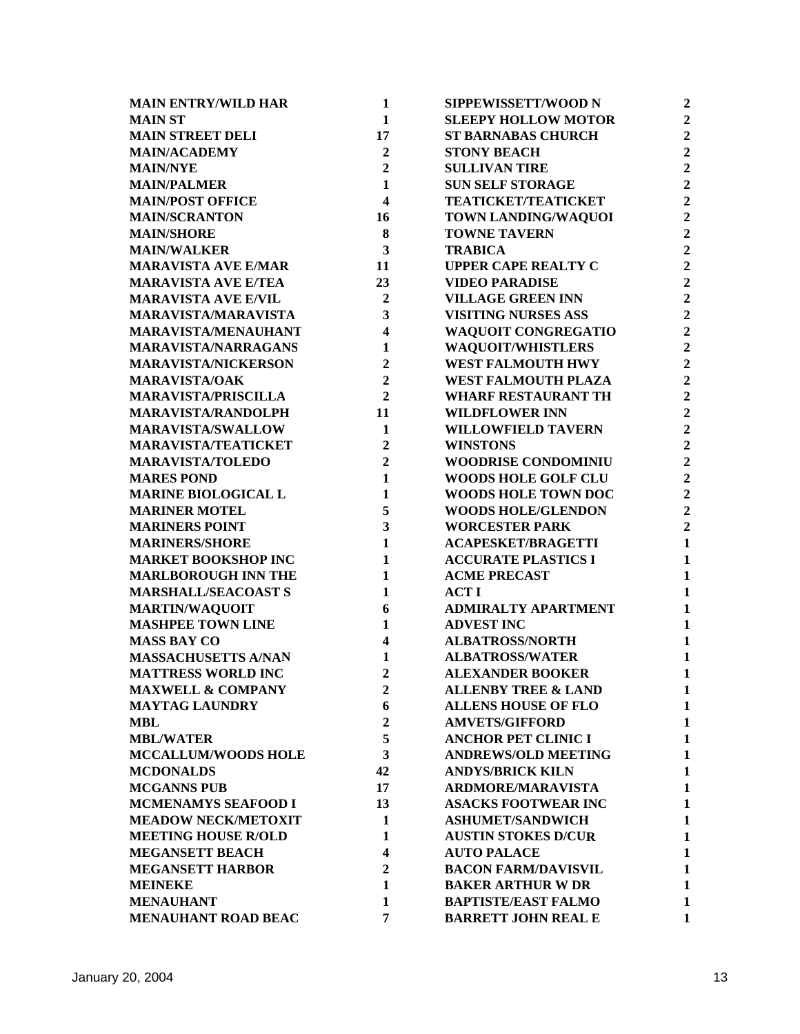| <b>MAIN ENTRY/WILD HAR</b>   | $\mathbf{1}$            | SIPPEWISSETT/WOOD N            | $\overline{2}$ |
|------------------------------|-------------------------|--------------------------------|----------------|
| <b>MAIN ST</b>               | $\mathbf{1}$            | <b>SLEEPY HOLLOW MOTOR</b>     | $\overline{2}$ |
| <b>MAIN STREET DELI</b>      | 17                      | <b>ST BARNABAS CHURCH</b>      | $\overline{2}$ |
| <b>MAIN/ACADEMY</b>          | $\mathbf{2}$            | <b>STONY BEACH</b>             | $\overline{2}$ |
| <b>MAIN/NYE</b>              | $\overline{2}$          | <b>SULLIVAN TIRE</b>           | $\overline{2}$ |
| <b>MAIN/PALMER</b>           | $\mathbf{1}$            | <b>SUN SELF STORAGE</b>        | $\overline{2}$ |
| <b>MAIN/POST OFFICE</b>      | $\overline{\mathbf{4}}$ | <b>TEATICKET/TEATICKET</b>     | $\overline{2}$ |
| <b>MAIN/SCRANTON</b>         | 16                      | TOWN LANDING/WAQUOI            | $\overline{2}$ |
| <b>MAIN/SHORE</b>            | 8                       | <b>TOWNE TAVERN</b>            | $\overline{2}$ |
| <b>MAIN/WALKER</b>           | 3                       | <b>TRABICA</b>                 | $\overline{2}$ |
| <b>MARAVISTA AVE E/MAR</b>   | 11                      | <b>UPPER CAPE REALTY C</b>     | $\overline{2}$ |
| <b>MARAVISTA AVE E/TEA</b>   | 23                      | <b>VIDEO PARADISE</b>          | $\overline{2}$ |
| <b>MARAVISTA AVE E/VIL</b>   | $\mathbf{2}$            | <b>VILLAGE GREEN INN</b>       | $\overline{2}$ |
| <b>MARAVISTA/MARAVISTA</b>   | 3                       | <b>VISITING NURSES ASS</b>     | $\overline{2}$ |
| <b>MARAVISTA/MENAUHANT</b>   | $\overline{\mathbf{4}}$ | <b>WAQUOIT CONGREGATIO</b>     | $\overline{2}$ |
| <b>MARAVISTA/NARRAGANS</b>   | 1                       | <b>WAQUOIT/WHISTLERS</b>       | $\overline{2}$ |
| <b>MARAVISTA/NICKERSON</b>   | $\mathbf{2}$            | <b>WEST FALMOUTH HWY</b>       | $\overline{2}$ |
| <b>MARAVISTA/OAK</b>         | $\overline{2}$          | WEST FALMOUTH PLAZA            | $\overline{2}$ |
| <b>MARAVISTA/PRISCILLA</b>   | $\overline{2}$          | <b>WHARF RESTAURANT TH</b>     | $\overline{2}$ |
| <b>MARAVISTA/RANDOLPH</b>    | 11                      | <b>WILDFLOWER INN</b>          | $\overline{2}$ |
| <b>MARAVISTA/SWALLOW</b>     | 1                       | <b>WILLOWFIELD TAVERN</b>      | $\overline{2}$ |
| <b>MARAVISTA/TEATICKET</b>   | $\overline{2}$          | <b>WINSTONS</b>                | $\overline{2}$ |
| <b>MARAVISTA/TOLEDO</b>      | $\overline{2}$          | <b>WOODRISE CONDOMINIU</b>     | $\overline{2}$ |
| <b>MARES POND</b>            | 1                       | <b>WOODS HOLE GOLF CLU</b>     | $\overline{2}$ |
| <b>MARINE BIOLOGICAL L</b>   | $\mathbf{1}$            | <b>WOODS HOLE TOWN DOC</b>     | $\overline{2}$ |
| <b>MARINER MOTEL</b>         | 5                       | <b>WOODS HOLE/GLENDON</b>      | $\overline{2}$ |
| <b>MARINERS POINT</b>        | $\overline{\mathbf{3}}$ | <b>WORCESTER PARK</b>          | $\overline{2}$ |
| <b>MARINERS/SHORE</b>        | $\mathbf{1}$            | <b>ACAPESKET/BRAGETTI</b>      | $\mathbf{1}$   |
| <b>MARKET BOOKSHOP INC</b>   | $\mathbf{1}$            | <b>ACCURATE PLASTICS I</b>     | $\mathbf{1}$   |
| <b>MARLBOROUGH INN THE</b>   | $\mathbf{1}$            | <b>ACME PRECAST</b>            | $\mathbf{1}$   |
| <b>MARSHALL/SEACOAST S</b>   | 1                       | <b>ACTI</b>                    | $\mathbf{1}$   |
| <b>MARTIN/WAQUOIT</b>        | 6                       | <b>ADMIRALTY APARTMENT</b>     | $\mathbf{1}$   |
| <b>MASHPEE TOWN LINE</b>     | 1                       | <b>ADVEST INC</b>              | $\mathbf{1}$   |
| <b>MASS BAY CO</b>           | 4                       | <b>ALBATROSS/NORTH</b>         | $\mathbf{1}$   |
| <b>MASSACHUSETTS A/NAN</b>   | 1                       | <b>ALBATROSS/WATER</b>         | 1              |
| <b>MATTRESS WORLD INC</b>    | $\overline{2}$          | <b>ALEXANDER BOOKER</b>        | 1              |
| <b>MAXWELL &amp; COMPANY</b> | $\boldsymbol{2}$        | <b>ALLENBY TREE &amp; LAND</b> | 1              |
| <b>MAYTAG LAUNDRY</b>        | 6                       | <b>ALLENS HOUSE OF FLO</b>     | 1              |
| <b>MBL</b>                   | $\overline{2}$          | <b>AMVETS/GIFFORD</b>          | 1              |
| <b>MBL/WATER</b>             | 5                       | <b>ANCHOR PET CLINIC I</b>     | 1              |
| <b>MCCALLUM/WOODS HOLE</b>   | 3                       | <b>ANDREWS/OLD MEETING</b>     | 1              |
| <b>MCDONALDS</b>             | 42                      | <b>ANDYS/BRICK KILN</b>        | $\mathbf{1}$   |
| <b>MCGANNS PUB</b>           | 17                      | <b>ARDMORE/MARAVISTA</b>       | $\mathbf{1}$   |
| MCMENAMYS SEAFOOD I          | 13                      | <b>ASACKS FOOTWEAR INC</b>     | 1              |
| <b>MEADOW NECK/METOXIT</b>   | 1                       | <b>ASHUMET/SANDWICH</b>        | $\mathbf{1}$   |
| <b>MEETING HOUSE R/OLD</b>   | 1                       | <b>AUSTIN STOKES D/CUR</b>     | 1              |
| <b>MEGANSETT BEACH</b>       | 4                       | <b>AUTO PALACE</b>             | 1              |
| <b>MEGANSETT HARBOR</b>      | $\mathbf{2}$            | <b>BACON FARM/DAVISVIL</b>     | 1              |
| <b>MEINEKE</b>               | 1                       | <b>BAKER ARTHUR W DR</b>       | 1              |
| <b>MENAUHANT</b>             | 1                       | <b>BAPTISTE/EAST FALMO</b>     | 1              |
| MENAUHANT ROAD BEAC          | 7                       | <b>BARRETT JOHN REAL E</b>     | 1              |
|                              |                         |                                |                |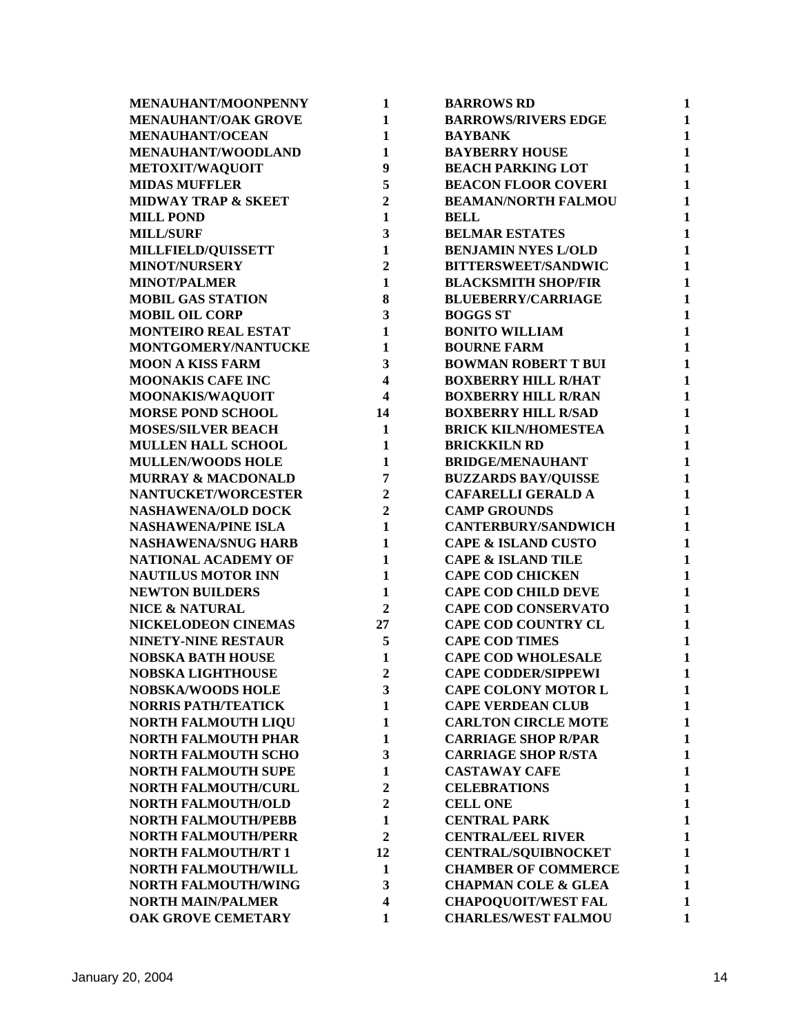| MENAUHANT/MOONPENNY            | $\mathbf{1}$            | <b>BARROWS RD</b>                                        | 1            |
|--------------------------------|-------------------------|----------------------------------------------------------|--------------|
| MENAUHANT/OAK GROVE            | $\mathbf{1}$            | <b>BARROWS/RIVERS EDGE</b>                               | 1            |
| <b>MENAUHANT/OCEAN</b>         | $\mathbf{1}$            | <b>BAYBANK</b>                                           | $\mathbf{1}$ |
| MENAUHANT/WOODLAND             | $\mathbf{1}$            | <b>BAYBERRY HOUSE</b>                                    | $\mathbf{1}$ |
| METOXIT/WAQUOIT                | 9                       | <b>BEACH PARKING LOT</b>                                 | $\mathbf{1}$ |
| <b>MIDAS MUFFLER</b>           | 5                       | <b>BEACON FLOOR COVERI</b>                               | $\mathbf{1}$ |
| <b>MIDWAY TRAP &amp; SKEET</b> | $\overline{2}$          | <b>BEAMAN/NORTH FALMOU</b>                               | 1            |
| <b>MILL POND</b>               | $\mathbf{1}$            | <b>BELL</b>                                              | $\mathbf{1}$ |
| <b>MILL/SURF</b>               | 3                       | <b>BELMAR ESTATES</b>                                    | $\mathbf{1}$ |
| MILLFIELD/QUISSETT             | $\mathbf{1}$            | <b>BENJAMIN NYES L/OLD</b>                               | $\mathbf{1}$ |
| <b>MINOT/NURSERY</b>           | $\overline{2}$          | <b>BITTERSWEET/SANDWIC</b>                               | 1            |
| <b>MINOT/PALMER</b>            | $\mathbf{1}$            | <b>BLACKSMITH SHOP/FIR</b>                               | $\mathbf{1}$ |
| <b>MOBIL GAS STATION</b>       | 8                       | <b>BLUEBERRY/CARRIAGE</b>                                | 1            |
| <b>MOBIL OIL CORP</b>          | 3                       | <b>BOGGS ST</b>                                          | $\mathbf{1}$ |
| <b>MONTEIRO REAL ESTAT</b>     | $\mathbf{1}$            | <b>BONITO WILLIAM</b>                                    | $\mathbf{1}$ |
| MONTGOMERY/NANTUCKE            | $\mathbf{1}$            | <b>BOURNE FARM</b>                                       | $\mathbf{1}$ |
| <b>MOON A KISS FARM</b>        | 3                       | <b>BOWMAN ROBERT T BUI</b>                               | $\mathbf{1}$ |
| <b>MOONAKIS CAFE INC</b>       | $\overline{\mathbf{4}}$ | <b>BOXBERRY HILL R/HAT</b>                               | $\mathbf{1}$ |
| MOONAKIS/WAQUOIT               | 4                       | <b>BOXBERRY HILL R/RAN</b>                               | $\mathbf{1}$ |
| <b>MORSE POND SCHOOL</b>       | 14                      | <b>BOXBERRY HILL R/SAD</b>                               | $\mathbf{1}$ |
| <b>MOSES/SILVER BEACH</b>      | $\mathbf{1}$            | <b>BRICK KILN/HOMESTEA</b>                               | $\mathbf{1}$ |
| <b>MULLEN HALL SCHOOL</b>      | 1                       | <b>BRICKKILN RD</b>                                      | $\mathbf{1}$ |
| <b>MULLEN/WOODS HOLE</b>       | $\mathbf{1}$            | <b>BRIDGE/MENAUHANT</b>                                  | $\mathbf{1}$ |
| <b>MURRAY &amp; MACDONALD</b>  | 7                       | <b>BUZZARDS BAY/QUISSE</b>                               | $\mathbf{1}$ |
| NANTUCKET/WORCESTER            | $\overline{2}$          | <b>CAFARELLI GERALD A</b>                                | 1            |
| <b>NASHAWENA/OLD DOCK</b>      | $\overline{2}$          | <b>CAMP GROUNDS</b>                                      | $\mathbf{1}$ |
| <b>NASHAWENA/PINE ISLA</b>     | $\mathbf{1}$            | <b>CANTERBURY/SANDWICH</b>                               | $\mathbf{1}$ |
| <b>NASHAWENA/SNUG HARB</b>     | $\mathbf{1}$            | <b>CAPE &amp; ISLAND CUSTO</b>                           | $\mathbf{1}$ |
| NATIONAL ACADEMY OF            | $\mathbf{1}$            | <b>CAPE &amp; ISLAND TILE</b>                            | $\mathbf{1}$ |
| <b>NAUTILUS MOTOR INN</b>      | $\mathbf{1}$            | <b>CAPE COD CHICKEN</b>                                  | $\mathbf{1}$ |
| <b>NEWTON BUILDERS</b>         | $\mathbf{1}$            | <b>CAPE COD CHILD DEVE</b>                               | $\mathbf{1}$ |
| <b>NICE &amp; NATURAL</b>      | $\overline{2}$          | <b>CAPE COD CONSERVATO</b>                               | $\mathbf{1}$ |
| NICKELODEON CINEMAS            | 27                      | <b>CAPE COD COUNTRY CL</b>                               | $\mathbf{1}$ |
| NINETY-NINE RESTAUR            | 5                       | <b>CAPE COD TIMES</b>                                    | $\mathbf{1}$ |
| <b>NOBSKA BATH HOUSE</b>       | 1                       | <b>CAPE COD WHOLESALE</b>                                | $\mathbf{1}$ |
| <b>NOBSKA LIGHTHOUSE</b>       | $\overline{2}$          | <b>CAPE CODDER/SIPPEWI</b>                               | 1            |
| <b>NOBSKA/WOODS HOLE</b>       | 3                       | <b>CAPE COLONY MOTOR L</b>                               | 1            |
| <b>NORRIS PATH/TEATICK</b>     | 1                       | <b>CAPE VERDEAN CLUB</b>                                 | 1            |
| <b>NORTH FALMOUTH LIQU</b>     | 1                       | <b>CARLTON CIRCLE MOTE</b>                               | 1            |
| <b>NORTH FALMOUTH PHAR</b>     | 1                       | <b>CARRIAGE SHOP R/PAR</b>                               | 1            |
| <b>NORTH FALMOUTH SCHO</b>     | 3                       | <b>CARRIAGE SHOP R/STA</b>                               | 1            |
| <b>NORTH FALMOUTH SUPE</b>     | $\mathbf{1}$            | <b>CASTAWAY CAFE</b>                                     | 1            |
| <b>NORTH FALMOUTH/CURL</b>     | $\overline{2}$          | <b>CELEBRATIONS</b>                                      | $\mathbf{1}$ |
| <b>NORTH FALMOUTH/OLD</b>      | $\mathbf{2}$            | <b>CELL ONE</b>                                          | $\mathbf{1}$ |
| <b>NORTH FALMOUTH/PEBB</b>     | 1                       | <b>CENTRAL PARK</b>                                      | $\mathbf{1}$ |
| <b>NORTH FALMOUTH/PERR</b>     | $\overline{2}$          | <b>CENTRAL/EEL RIVER</b>                                 | $\mathbf{1}$ |
| <b>NORTH FALMOUTH/RT 1</b>     | 12                      |                                                          |              |
|                                |                         | <b>CENTRAL/SQUIBNOCKET</b><br><b>CHAMBER OF COMMERCE</b> | 1            |
| <b>NORTH FALMOUTH/WILL</b>     | 1                       |                                                          | 1            |
| <b>NORTH FALMOUTH/WING</b>     | 3                       | <b>CHAPMAN COLE &amp; GLEA</b>                           | $\mathbf{1}$ |
| <b>NORTH MAIN/PALMER</b>       | 4                       | <b>CHAPOQUOIT/WEST FAL</b>                               | 1            |
| OAK GROVE CEMETARY             | 1                       | <b>CHARLES/WEST FALMOU</b>                               | $\mathbf{1}$ |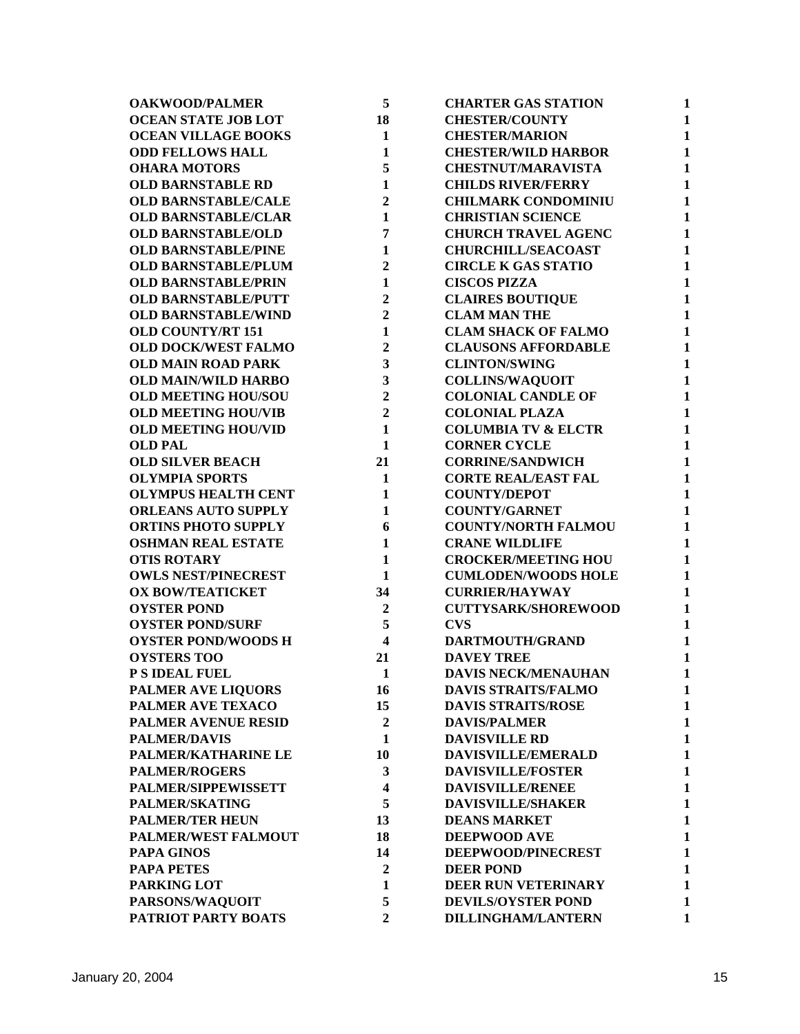| <b>OAKWOOD/PALMER</b>      | 5                       | <b>CHARTER GAS STATION</b>     | 1            |
|----------------------------|-------------------------|--------------------------------|--------------|
| <b>OCEAN STATE JOB LOT</b> | 18                      | <b>CHESTER/COUNTY</b>          | $\mathbf{1}$ |
| <b>OCEAN VILLAGE BOOKS</b> | $\mathbf{1}$            | <b>CHESTER/MARION</b>          | $\mathbf{1}$ |
| <b>ODD FELLOWS HALL</b>    | $\mathbf{1}$            | <b>CHESTER/WILD HARBOR</b>     | $\mathbf{1}$ |
| <b>OHARA MOTORS</b>        | 5                       | <b>CHESTNUT/MARAVISTA</b>      | $\mathbf{1}$ |
| <b>OLD BARNSTABLE RD</b>   | $\mathbf{1}$            | <b>CHILDS RIVER/FERRY</b>      | 1            |
| <b>OLD BARNSTABLE/CALE</b> | $\overline{2}$          | <b>CHILMARK CONDOMINIU</b>     | $\mathbf{1}$ |
| <b>OLD BARNSTABLE/CLAR</b> | $\mathbf{1}$            | <b>CHRISTIAN SCIENCE</b>       | $\mathbf{1}$ |
| <b>OLD BARNSTABLE/OLD</b>  | 7                       | <b>CHURCH TRAVEL AGENC</b>     | $\mathbf{1}$ |
| <b>OLD BARNSTABLE/PINE</b> | $\mathbf{1}$            | <b>CHURCHILL/SEACOAST</b>      | $\mathbf{1}$ |
| <b>OLD BARNSTABLE/PLUM</b> | $\overline{2}$          | <b>CIRCLE K GAS STATIO</b>     | 1            |
| <b>OLD BARNSTABLE/PRIN</b> | $\mathbf{1}$            | <b>CISCOS PIZZA</b>            | $\mathbf{1}$ |
| <b>OLD BARNSTABLE/PUTT</b> | $\overline{2}$          | <b>CLAIRES BOUTIQUE</b>        | $\mathbf{1}$ |
| <b>OLD BARNSTABLE/WIND</b> | $\overline{2}$          | <b>CLAM MAN THE</b>            | $\mathbf{1}$ |
| <b>OLD COUNTY/RT 151</b>   | $\mathbf{1}$            | <b>CLAM SHACK OF FALMO</b>     | $\mathbf{1}$ |
| <b>OLD DOCK/WEST FALMO</b> | $\overline{2}$          | <b>CLAUSONS AFFORDABLE</b>     | $\mathbf{1}$ |
| <b>OLD MAIN ROAD PARK</b>  | 3                       | <b>CLINTON/SWING</b>           | $\mathbf{1}$ |
| <b>OLD MAIN/WILD HARBO</b> | 3                       | <b>COLLINS/WAQUOIT</b>         | $\mathbf{1}$ |
| <b>OLD MEETING HOU/SOU</b> | $\overline{2}$          | <b>COLONIAL CANDLE OF</b>      | $\mathbf{1}$ |
| <b>OLD MEETING HOU/VIB</b> | $\overline{2}$          | <b>COLONIAL PLAZA</b>          | $\mathbf{1}$ |
| <b>OLD MEETING HOU/VID</b> | $\mathbf{1}$            | <b>COLUMBIA TV &amp; ELCTR</b> | $\mathbf{1}$ |
| <b>OLD PAL</b>             | $\mathbf{1}$            | <b>CORNER CYCLE</b>            | $\mathbf{1}$ |
| <b>OLD SILVER BEACH</b>    | 21                      | <b>CORRINE/SANDWICH</b>        | $\mathbf{1}$ |
| <b>OLYMPIA SPORTS</b>      | $\mathbf{1}$            | <b>CORTE REAL/EAST FAL</b>     | $\mathbf{1}$ |
| <b>OLYMPUS HEALTH CENT</b> | $\mathbf{1}$            | <b>COUNTY/DEPOT</b>            | $\mathbf{1}$ |
| <b>ORLEANS AUTO SUPPLY</b> | $\mathbf{1}$            | <b>COUNTY/GARNET</b>           | $\mathbf{1}$ |
| <b>ORTINS PHOTO SUPPLY</b> | 6                       | <b>COUNTY/NORTH FALMOU</b>     | 1            |
| <b>OSHMAN REAL ESTATE</b>  | $\mathbf{1}$            | <b>CRANE WILDLIFE</b>          | $\mathbf{1}$ |
| <b>OTIS ROTARY</b>         | $\mathbf{1}$            | <b>CROCKER/MEETING HOU</b>     | $\mathbf{1}$ |
| <b>OWLS NEST/PINECREST</b> | $\mathbf{1}$            | <b>CUMLODEN/WOODS HOLE</b>     | $\mathbf{1}$ |
| <b>OX BOW/TEATICKET</b>    | 34                      | <b>CURRIER/HAYWAY</b>          | $\mathbf{1}$ |
| <b>OYSTER POND</b>         | $\overline{2}$          | <b>CUTTYSARK/SHOREWOOD</b>     | $\mathbf{1}$ |
| <b>OYSTER POND/SURF</b>    | 5                       | <b>CVS</b>                     | $\mathbf{1}$ |
| <b>OYSTER POND/WOODS H</b> | $\overline{\mathbf{4}}$ | DARTMOUTH/GRAND                | $\mathbf{1}$ |
| <b>OYSTERS TOO</b>         | 21                      | <b>DAVEY TREE</b>              | 1            |
| P S IDEAL FUEL             | $\mathbf{1}$            | <b>DAVIS NECK/MENAUHAN</b>     | 1            |
| PALMER AVE LIQUORS         | 16                      | <b>DAVIS STRAITS/FALMO</b>     | 1            |
| PALMER AVE TEXACO          | 15                      | <b>DAVIS STRAITS/ROSE</b>      | 1            |
| PALMER AVENUE RESID        | $\overline{2}$          | <b>DAVIS/PALMER</b>            | 1            |
| <b>PALMER/DAVIS</b>        | $\mathbf{1}$            | <b>DAVISVILLE RD</b>           | $\mathbf{1}$ |
| PALMER/KATHARINE LE        | 10                      | DAVISVILLE/EMERALD             | $\mathbf{1}$ |
| <b>PALMER/ROGERS</b>       | 3                       | <b>DAVISVILLE/FOSTER</b>       | 1            |
| PALMER/SIPPEWISSETT        | 4                       | <b>DAVISVILLE/RENEE</b>        | 1            |
| <b>PALMER/SKATING</b>      | 5                       | <b>DAVISVILLE/SHAKER</b>       | 1            |
| <b>PALMER/TER HEUN</b>     | 13                      | <b>DEANS MARKET</b>            | 1            |
| <b>PALMER/WEST FALMOUT</b> | 18                      | <b>DEEPWOOD AVE</b>            | $\mathbf{1}$ |
| <b>PAPA GINOS</b>          | 14                      | DEEPWOOD/PINECREST             | 1            |
| <b>PAPA PETES</b>          | $\boldsymbol{2}$        | <b>DEER POND</b>               | $\mathbf{1}$ |
| PARKING LOT                | 1                       | DEER RUN VETERINARY            | 1            |
| PARSONS/WAQUOIT            | 5                       | <b>DEVILS/OYSTER POND</b>      | 1            |
| PATRIOT PARTY BOATS        | $\overline{2}$          | <b>DILLINGHAM/LANTERN</b>      | $\mathbf{1}$ |
|                            |                         |                                |              |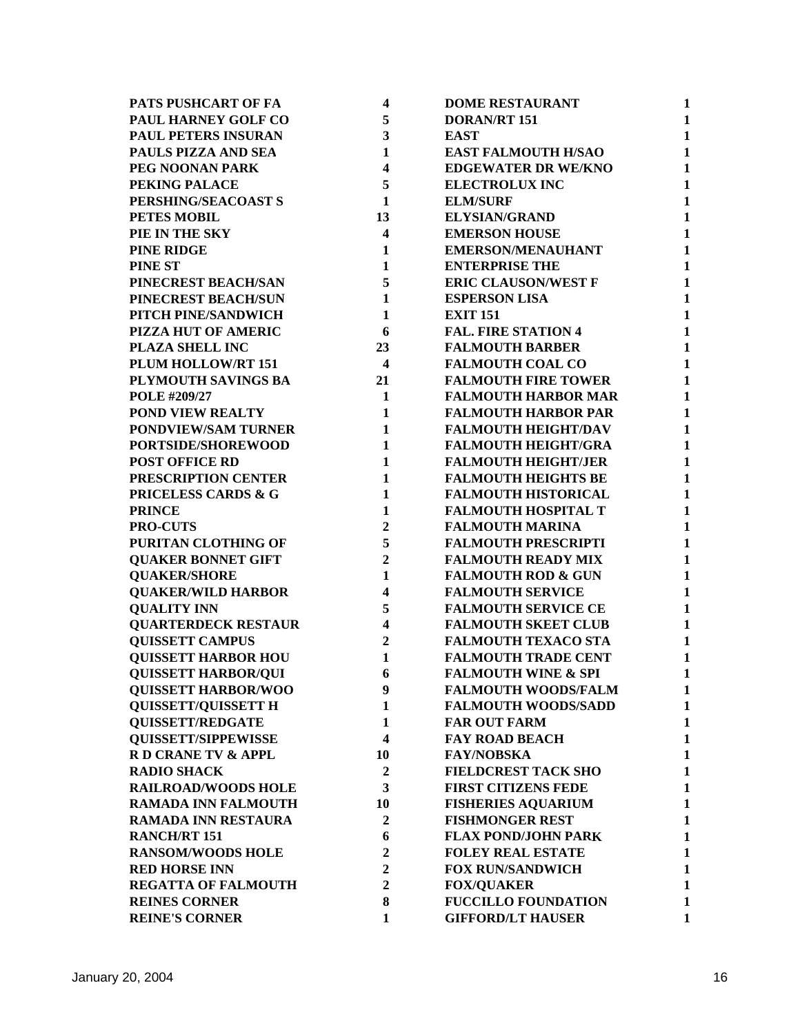| PATS PUSHCART OF FA            | $\overline{\mathbf{4}}$ | <b>DOME RESTAURANT</b>         | $\mathbf{1}$ |
|--------------------------------|-------------------------|--------------------------------|--------------|
| PAUL HARNEY GOLF CO            | 5                       | <b>DORAN/RT 151</b>            | $\mathbf{1}$ |
| PAUL PETERS INSURAN            | 3                       | <b>EAST</b>                    | $\mathbf{1}$ |
| PAULS PIZZA AND SEA            | $\mathbf{1}$            | <b>EAST FALMOUTH H/SAO</b>     | $\mathbf{1}$ |
| PEG NOONAN PARK                | $\overline{\mathbf{4}}$ | <b>EDGEWATER DR WE/KNO</b>     | $\mathbf{1}$ |
| PEKING PALACE                  | 5                       | <b>ELECTROLUX INC</b>          | $\mathbf{1}$ |
| PERSHING/SEACOAST S            | 1                       | <b>ELM/SURF</b>                | $\mathbf{1}$ |
| <b>PETES MOBIL</b>             | 13                      | <b>ELYSIAN/GRAND</b>           | $\mathbf{1}$ |
| PIE IN THE SKY                 | $\overline{\mathbf{4}}$ | <b>EMERSON HOUSE</b>           | $\mathbf{1}$ |
| <b>PINE RIDGE</b>              | $\mathbf{1}$            | <b>EMERSON/MENAUHANT</b>       | $\mathbf{1}$ |
| <b>PINE ST</b>                 | $\mathbf{1}$            | <b>ENTERPRISE THE</b>          | $\mathbf{1}$ |
| PINECREST BEACH/SAN            | 5                       | <b>ERIC CLAUSON/WEST F</b>     | $\mathbf{1}$ |
| PINECREST BEACH/SUN            | $\mathbf{1}$            | <b>ESPERSON LISA</b>           | $\mathbf{1}$ |
| PITCH PINE/SANDWICH            | $\mathbf{1}$            | <b>EXIT 151</b>                | $\mathbf{1}$ |
| PIZZA HUT OF AMERIC            | 6                       | <b>FAL. FIRE STATION 4</b>     | $\mathbf{1}$ |
| PLAZA SHELL INC                | 23                      | <b>FALMOUTH BARBER</b>         | $\mathbf{1}$ |
| PLUM HOLLOW/RT 151             | $\overline{\mathbf{4}}$ | <b>FALMOUTH COAL CO</b>        | $\mathbf{1}$ |
| PLYMOUTH SAVINGS BA            | 21                      | <b>FALMOUTH FIRE TOWER</b>     | $\mathbf{1}$ |
| POLE #209/27                   | $\mathbf{1}$            | <b>FALMOUTH HARBOR MAR</b>     | $\mathbf{1}$ |
| POND VIEW REALTY               | 1                       | <b>FALMOUTH HARBOR PAR</b>     | $\mathbf{1}$ |
| PONDVIEW/SAM TURNER            | $\mathbf{1}$            | <b>FALMOUTH HEIGHT/DAV</b>     | $\mathbf{1}$ |
| PORTSIDE/SHOREWOOD             | $\mathbf{1}$            | <b>FALMOUTH HEIGHT/GRA</b>     | $\mathbf{1}$ |
| <b>POST OFFICE RD</b>          | $\mathbf{1}$            | <b>FALMOUTH HEIGHT/JER</b>     | $\mathbf{1}$ |
| PRESCRIPTION CENTER            | $\mathbf{1}$            | <b>FALMOUTH HEIGHTS BE</b>     | $\mathbf{1}$ |
| <b>PRICELESS CARDS &amp; G</b> | 1                       | <b>FALMOUTH HISTORICAL</b>     | $\mathbf{1}$ |
| <b>PRINCE</b>                  | $\mathbf{1}$            | <b>FALMOUTH HOSPITAL T</b>     | $\mathbf{1}$ |
| <b>PRO-CUTS</b>                | $\overline{2}$          | <b>FALMOUTH MARINA</b>         | $\mathbf{1}$ |
| PURITAN CLOTHING OF            | 5                       | <b>FALMOUTH PRESCRIPTI</b>     | $\mathbf{1}$ |
| <b>QUAKER BONNET GIFT</b>      | $\overline{2}$          | <b>FALMOUTH READY MIX</b>      | $\mathbf{1}$ |
| <b>QUAKER/SHORE</b>            | $\mathbf{1}$            | <b>FALMOUTH ROD &amp; GUN</b>  | $\mathbf{1}$ |
| <b>QUAKER/WILD HARBOR</b>      | 4                       | <b>FALMOUTH SERVICE</b>        | $\mathbf{1}$ |
| <b>QUALITY INN</b>             | 5                       | <b>FALMOUTH SERVICE CE</b>     | $\mathbf{1}$ |
| <b>QUARTERDECK RESTAUR</b>     | 4                       | <b>FALMOUTH SKEET CLUB</b>     | 1            |
| <b>QUISSETT CAMPUS</b>         | $\overline{2}$          | <b>FALMOUTH TEXACO STA</b>     | $\mathbf{1}$ |
| <b>QUISSETT HARBOR HOU</b>     | 1                       | <b>FALMOUTH TRADE CENT</b>     | $\mathbf{1}$ |
| <b>OUISSETT HARBOR/OUI</b>     | 6                       | <b>FALMOUTH WINE &amp; SPI</b> | 1            |
| <b>QUISSETT HARBOR/WOO</b>     | 9                       | <b>FALMOUTH WOODS/FALM</b>     | 1            |
| <b>QUISSETT/QUISSETT H</b>     | 1                       | <b>FALMOUTH WOODS/SADD</b>     | 1            |
| <b>OUISSETT/REDGATE</b>        | 1                       | <b>FAR OUT FARM</b>            | 1            |
| <b>QUISSETT/SIPPEWISSE</b>     | $\overline{\mathbf{4}}$ | <b>FAY ROAD BEACH</b>          | $\mathbf{1}$ |
| R D CRANE TV & APPL            | 10                      | <b>FAY/NOBSKA</b>              | $\mathbf{1}$ |
| <b>RADIO SHACK</b>             | $\boldsymbol{2}$        | <b>FIELDCREST TACK SHO</b>     | 1            |
| <b>RAILROAD/WOODS HOLE</b>     | 3                       | <b>FIRST CITIZENS FEDE</b>     | $\mathbf{1}$ |
| <b>RAMADA INN FALMOUTH</b>     | 10                      | <b>FISHERIES AQUARIUM</b>      | $\mathbf{1}$ |
| RAMADA INN RESTAURA            | $\mathbf{2}$            | <b>FISHMONGER REST</b>         | $\mathbf{1}$ |
| <b>RANCH/RT 151</b>            | 6                       | <b>FLAX POND/JOHN PARK</b>     | $\mathbf{1}$ |
| <b>RANSOM/WOODS HOLE</b>       | $\overline{2}$          | <b>FOLEY REAL ESTATE</b>       | $\mathbf{1}$ |
| <b>RED HORSE INN</b>           | $\overline{2}$          | <b>FOX RUN/SANDWICH</b>        | $\mathbf{1}$ |
| <b>REGATTA OF FALMOUTH</b>     | $\overline{2}$          | <b>FOX/QUAKER</b>              | $\mathbf{1}$ |
| <b>REINES CORNER</b>           | 8                       | <b>FUCCILLO FOUNDATION</b>     | 1            |
| <b>REINE'S CORNER</b>          | 1                       | <b>GIFFORD/LT HAUSER</b>       | $\mathbf{1}$ |
|                                |                         |                                |              |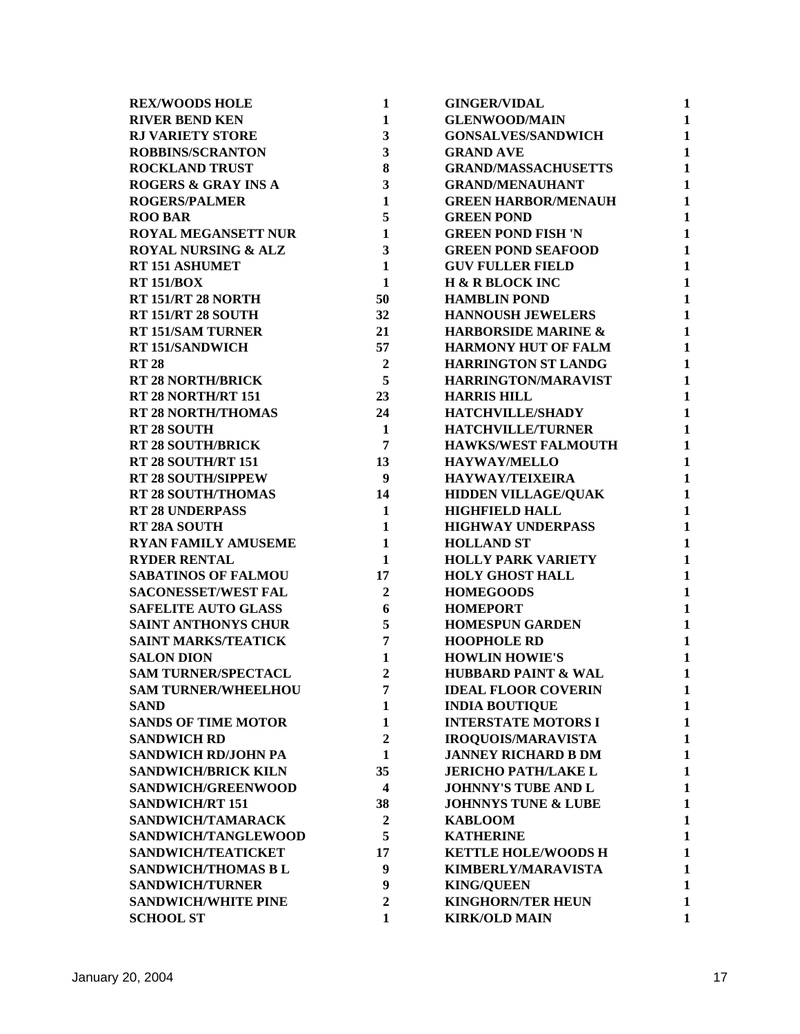| <b>REX/WOODS HOLE</b>          | 1                       | <b>GINGER/VIDAL</b>            | 1            |
|--------------------------------|-------------------------|--------------------------------|--------------|
| <b>RIVER BEND KEN</b>          | $\mathbf{1}$            | <b>GLENWOOD/MAIN</b>           | $\mathbf{1}$ |
| <b>RJ VARIETY STORE</b>        | $\overline{\mathbf{3}}$ | <b>GONSALVES/SANDWICH</b>      | $\mathbf{1}$ |
| <b>ROBBINS/SCRANTON</b>        | $\overline{\mathbf{3}}$ | <b>GRAND AVE</b>               | $\mathbf{1}$ |
| <b>ROCKLAND TRUST</b>          | 8                       | <b>GRAND/MASSACHUSETTS</b>     | $\mathbf{1}$ |
| <b>ROGERS &amp; GRAY INS A</b> | $\overline{\mathbf{3}}$ | <b>GRAND/MENAUHANT</b>         | $\mathbf{1}$ |
| <b>ROGERS/PALMER</b>           | $\mathbf{1}$            | <b>GREEN HARBOR/MENAUH</b>     | $\mathbf{1}$ |
| <b>ROO BAR</b>                 | 5                       | <b>GREEN POND</b>              | $\mathbf{1}$ |
| <b>ROYAL MEGANSETT NUR</b>     | $\mathbf{1}$            | <b>GREEN POND FISH 'N</b>      | $\mathbf{1}$ |
| <b>ROYAL NURSING &amp; ALZ</b> | $\mathbf{3}$            | <b>GREEN POND SEAFOOD</b>      | $\mathbf{1}$ |
| RT 151 ASHUMET                 | $\mathbf{1}$            | <b>GUV FULLER FIELD</b>        | $\mathbf{1}$ |
| <b>RT 151/BOX</b>              | $\mathbf{1}$            | <b>H &amp; R BLOCK INC</b>     | $\mathbf{1}$ |
| RT 151/RT 28 NORTH             | 50                      | <b>HAMBLIN POND</b>            | $\mathbf{1}$ |
| <b>RT 151/RT 28 SOUTH</b>      | 32                      | <b>HANNOUSH JEWELERS</b>       | $\mathbf{1}$ |
| <b>RT 151/SAM TURNER</b>       | 21                      | <b>HARBORSIDE MARINE &amp;</b> | $\mathbf{1}$ |
| <b>RT 151/SANDWICH</b>         | 57                      | <b>HARMONY HUT OF FALM</b>     | $\mathbf{1}$ |
| <b>RT 28</b>                   | $\boldsymbol{2}$        | <b>HARRINGTON ST LANDG</b>     | $\mathbf{1}$ |
| <b>RT 28 NORTH/BRICK</b>       | 5 <sup>5</sup>          | HARRINGTON/MARAVIST            | $\mathbf{1}$ |
| RT 28 NORTH/RT 151             | 23                      | <b>HARRIS HILL</b>             | $\mathbf{1}$ |
| <b>RT 28 NORTH/THOMAS</b>      | 24                      | HATCHVILLE/SHADY               | $\mathbf{1}$ |
| <b>RT 28 SOUTH</b>             | $\mathbf{1}$            | <b>HATCHVILLE/TURNER</b>       | $\mathbf{1}$ |
| <b>RT 28 SOUTH/BRICK</b>       | $\overline{7}$          | <b>HAWKS/WEST FALMOUTH</b>     | $\mathbf{1}$ |
| RT 28 SOUTH/RT 151             | 13                      | <b>HAYWAY/MELLO</b>            | $\mathbf{1}$ |
| <b>RT 28 SOUTH/SIPPEW</b>      | $\boldsymbol{9}$        | <b>HAYWAY/TEIXEIRA</b>         | $\mathbf{1}$ |
| <b>RT 28 SOUTH/THOMAS</b>      | 14                      | <b>HIDDEN VILLAGE/QUAK</b>     | $\mathbf{1}$ |
| <b>RT 28 UNDERPASS</b>         | $\mathbf{1}$            | <b>HIGHFIELD HALL</b>          | $\mathbf{1}$ |
| RT 28A SOUTH                   | $\mathbf{1}$            | <b>HIGHWAY UNDERPASS</b>       | $\mathbf{1}$ |
| <b>RYAN FAMILY AMUSEME</b>     | $\mathbf{1}$            | <b>HOLLAND ST</b>              | $\mathbf{1}$ |
| <b>RYDER RENTAL</b>            | $\mathbf{1}$            | <b>HOLLY PARK VARIETY</b>      | $\mathbf{1}$ |
| <b>SABATINOS OF FALMOU</b>     | 17                      | <b>HOLY GHOST HALL</b>         | $\mathbf{1}$ |
| <b>SACONESSET/WEST FAL</b>     | $\overline{2}$          | <b>HOMEGOODS</b>               | $\mathbf{1}$ |
| <b>SAFELITE AUTO GLASS</b>     | 6                       | <b>HOMEPORT</b>                | $\mathbf{1}$ |
| <b>SAINT ANTHONYS CHUR</b>     | 5                       | <b>HOMESPUN GARDEN</b>         | $\mathbf{1}$ |
| <b>SAINT MARKS/TEATICK</b>     | 7                       | <b>HOOPHOLE RD</b>             | $\mathbf{1}$ |
| <b>SALON DION</b>              | 1                       | <b>HOWLIN HOWIE'S</b>          | $\mathbf{1}$ |
| <b>SAM TURNER/SPECTACL</b>     | $\overline{2}$          | <b>HUBBARD PAINT &amp; WAL</b> | 1            |
| <b>SAM TURNER/WHEELHOU</b>     | 7                       | <b>IDEAL FLOOR COVERIN</b>     | 1            |
| <b>SAND</b>                    | $\mathbf{1}$            | <b>INDIA BOUTIQUE</b>          | 1            |
| <b>SANDS OF TIME MOTOR</b>     | 1                       | <b>INTERSTATE MOTORS I</b>     | 1            |
| <b>SANDWICH RD</b>             | $\boldsymbol{2}$        | <b>IROQUOIS/MARAVISTA</b>      | 1            |
| <b>SANDWICH RD/JOHN PA</b>     | $\mathbf{1}$            | <b>JANNEY RICHARD B DM</b>     | $\mathbf{1}$ |
| <b>SANDWICH/BRICK KILN</b>     | 35                      | <b>JERICHO PATH/LAKE L</b>     | 1            |
| SANDWICH/GREENWOOD             | 4                       | JOHNNY'S TUBE AND L            | 1            |
| <b>SANDWICH/RT 151</b>         | 38                      | <b>JOHNNYS TUNE &amp; LUBE</b> | 1            |
| SANDWICH/TAMARACK              | $\boldsymbol{2}$        | <b>KABLOOM</b>                 | 1            |
| SANDWICH/TANGLEWOOD            | 5                       | <b>KATHERINE</b>               | 1            |
| SANDWICH/TEATICKET             | 17                      | <b>KETTLE HOLE/WOODS H</b>     | $\mathbf{1}$ |
| SANDWICH/THOMAS B L            | $\boldsymbol{9}$        | KIMBERLY/MARAVISTA             | 1            |
| <b>SANDWICH/TURNER</b>         | $\boldsymbol{9}$        | <b>KING/QUEEN</b>              | 1            |
| <b>SANDWICH/WHITE PINE</b>     | $\overline{2}$          | <b>KINGHORN/TER HEUN</b>       | 1            |
| <b>SCHOOL ST</b>               | 1                       | <b>KIRK/OLD MAIN</b>           | $\mathbf{1}$ |
|                                |                         |                                |              |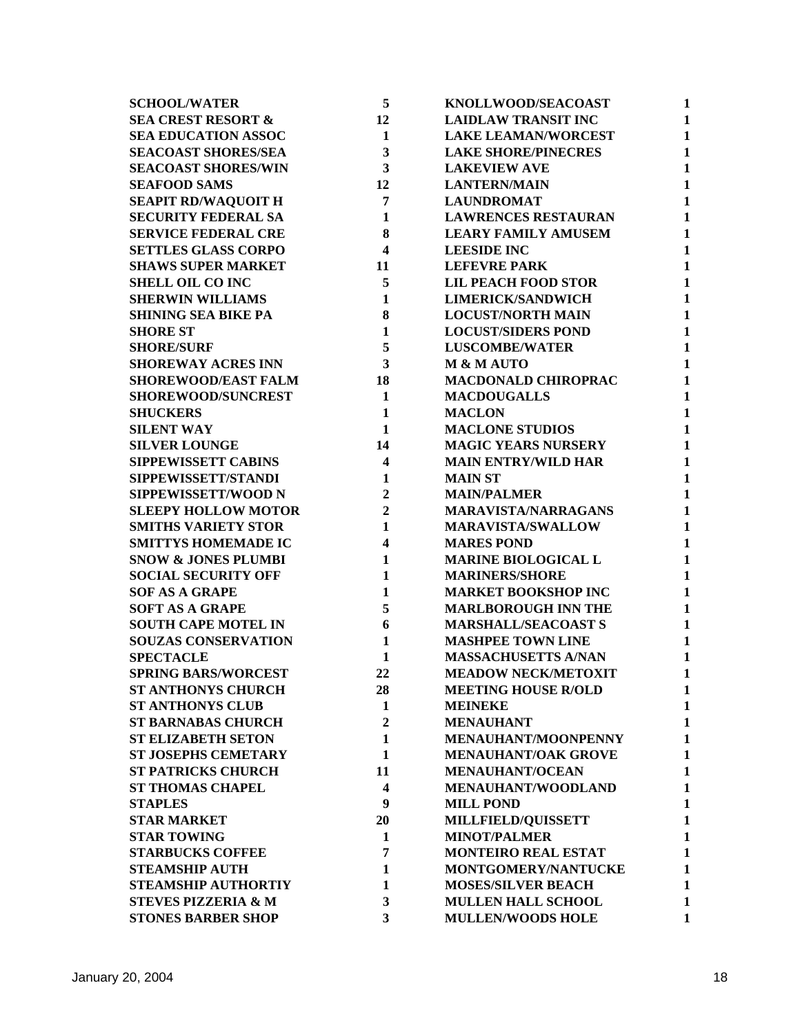| <b>SCHOOL/WATER</b>            | 5                       | KNOLLWOOD/SEACOAST         | 1            |
|--------------------------------|-------------------------|----------------------------|--------------|
| <b>SEA CREST RESORT &amp;</b>  | 12                      | <b>LAIDLAW TRANSIT INC</b> | 1            |
| <b>SEA EDUCATION ASSOC</b>     | $\mathbf{1}$            | <b>LAKE LEAMAN/WORCEST</b> | 1            |
| <b>SEACOAST SHORES/SEA</b>     | 3                       | <b>LAKE SHORE/PINECRES</b> | $\mathbf{1}$ |
| <b>SEACOAST SHORES/WIN</b>     | 3                       | <b>LAKEVIEW AVE</b>        | $\mathbf{1}$ |
| <b>SEAFOOD SAMS</b>            | 12                      | <b>LANTERN/MAIN</b>        | $\mathbf{1}$ |
| <b>SEAPIT RD/WAQUOIT H</b>     | 7                       | <b>LAUNDROMAT</b>          | $\mathbf{1}$ |
| <b>SECURITY FEDERAL SA</b>     | 1                       | <b>LAWRENCES RESTAURAN</b> | $\mathbf{1}$ |
| <b>SERVICE FEDERAL CRE</b>     | 8                       | <b>LEARY FAMILY AMUSEM</b> | $\mathbf{1}$ |
| <b>SETTLES GLASS CORPO</b>     | $\overline{\mathbf{4}}$ | <b>LEESIDE INC</b>         | $\mathbf{1}$ |
| <b>SHAWS SUPER MARKET</b>      | 11                      | <b>LEFEVRE PARK</b>        | $\mathbf{1}$ |
| <b>SHELL OIL CO INC</b>        | 5                       | <b>LIL PEACH FOOD STOR</b> | $\mathbf{1}$ |
| <b>SHERWIN WILLIAMS</b>        | $\mathbf{1}$            | <b>LIMERICK/SANDWICH</b>   | $\mathbf{1}$ |
| <b>SHINING SEA BIKE PA</b>     | 8                       | <b>LOCUST/NORTH MAIN</b>   | $\mathbf{1}$ |
| <b>SHORE ST</b>                | $\mathbf{1}$            | <b>LOCUST/SIDERS POND</b>  | $\mathbf{1}$ |
| <b>SHORE/SURF</b>              | 5                       | <b>LUSCOMBE/WATER</b>      | $\mathbf{1}$ |
| <b>SHOREWAY ACRES INN</b>      | 3                       | <b>M &amp; M AUTO</b>      | $\mathbf{1}$ |
| <b>SHOREWOOD/EAST FALM</b>     | 18                      | <b>MACDONALD CHIROPRAC</b> | $\mathbf{1}$ |
| <b>SHOREWOOD/SUNCREST</b>      | $\mathbf{1}$            | <b>MACDOUGALLS</b>         | $\mathbf{1}$ |
| <b>SHUCKERS</b>                | $\mathbf{1}$            | <b>MACLON</b>              | $\mathbf{1}$ |
| <b>SILENT WAY</b>              | 1                       | <b>MACLONE STUDIOS</b>     | $\mathbf{1}$ |
| <b>SILVER LOUNGE</b>           | 14                      | <b>MAGIC YEARS NURSERY</b> | $\mathbf{1}$ |
| <b>SIPPEWISSETT CABINS</b>     | 4                       | <b>MAIN ENTRY/WILD HAR</b> | $\mathbf{1}$ |
| SIPPEWISSETT/STANDI            | 1                       | <b>MAIN ST</b>             | $\mathbf{1}$ |
| SIPPEWISSETT/WOOD N            | $\overline{2}$          | <b>MAIN/PALMER</b>         | 1            |
| <b>SLEEPY HOLLOW MOTOR</b>     | $\overline{2}$          | <b>MARAVISTA/NARRAGANS</b> | $\mathbf{1}$ |
| <b>SMITHS VARIETY STOR</b>     | $\mathbf{1}$            | <b>MARAVISTA/SWALLOW</b>   | $\mathbf{1}$ |
| <b>SMITTYS HOMEMADE IC</b>     | 4                       | <b>MARES POND</b>          | $\mathbf{1}$ |
| <b>SNOW &amp; JONES PLUMBI</b> | 1                       | <b>MARINE BIOLOGICAL L</b> | $\mathbf{1}$ |
| <b>SOCIAL SECURITY OFF</b>     | $\mathbf{1}$            | <b>MARINERS/SHORE</b>      | $\mathbf{1}$ |
| <b>SOF AS A GRAPE</b>          | 1                       | <b>MARKET BOOKSHOP INC</b> | $\mathbf{1}$ |
| <b>SOFT AS A GRAPE</b>         | 5                       | <b>MARLBOROUGH INN THE</b> | $\mathbf{1}$ |
| <b>SOUTH CAPE MOTEL IN</b>     | 6                       | <b>MARSHALL/SEACOAST S</b> | $\mathbf{1}$ |
| <b>SOUZAS CONSERVATION</b>     | 1                       | <b>MASHPEE TOWN LINE</b>   | $\mathbf{1}$ |
| <b>SPECTACLE</b>               | 1                       | <b>MASSACHUSETTS A/NAN</b> | 1            |
| <b>SPRING BARS/WORCEST</b>     | 22                      | <b>MEADOW NECK/METOXIT</b> | 1            |
| <b>ST ANTHONYS CHURCH</b>      | 28                      | <b>MEETING HOUSE R/OLD</b> | 1            |
| <b>ST ANTHONYS CLUB</b>        | 1                       | <b>MEINEKE</b>             | 1            |
| <b>ST BARNABAS CHURCH</b>      | $\overline{2}$          | <b>MENAUHANT</b>           | $\mathbf{1}$ |
| <b>ST ELIZABETH SETON</b>      | $\mathbf{1}$            | MENAUHANT/MOONPENNY        | $\mathbf{1}$ |
| <b>ST JOSEPHS CEMETARY</b>     | $\mathbf{1}$            | <b>MENAUHANT/OAK GROVE</b> | 1            |
| <b>ST PATRICKS CHURCH</b>      | 11                      | <b>MENAUHANT/OCEAN</b>     | $\mathbf{1}$ |
| <b>ST THOMAS CHAPEL</b>        | $\overline{\mathbf{4}}$ | MENAUHANT/WOODLAND         | 1            |
| <b>STAPLES</b>                 | 9                       | <b>MILL POND</b>           | 1            |
| <b>STAR MARKET</b>             | 20                      | MILLFIELD/QUISSETT         | $\mathbf{1}$ |
| <b>STAR TOWING</b>             | 1                       | <b>MINOT/PALMER</b>        | $\mathbf{1}$ |
| <b>STARBUCKS COFFEE</b>        | 7                       | <b>MONTEIRO REAL ESTAT</b> | 1            |
| <b>STEAMSHIP AUTH</b>          | 1                       | MONTGOMERY/NANTUCKE        | 1            |
| <b>STEAMSHIP AUTHORTIY</b>     | 1                       | <b>MOSES/SILVER BEACH</b>  | 1            |
| <b>STEVES PIZZERIA &amp; M</b> | 3                       | <b>MULLEN HALL SCHOOL</b>  | 1            |
| <b>STONES BARBER SHOP</b>      | 3                       | <b>MULLEN/WOODS HOLE</b>   | 1            |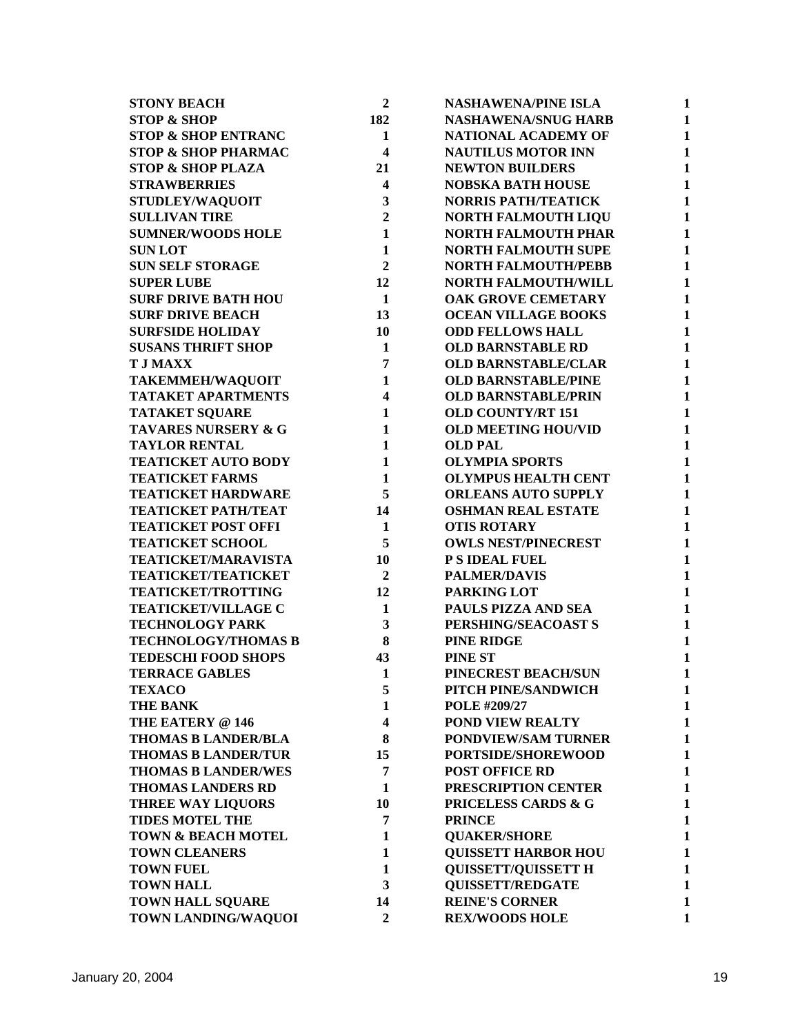| <b>STONY BEACH</b>             | $\overline{2}$          | <b>NASHAWENA/PINE ISLA</b> | 1            |
|--------------------------------|-------------------------|----------------------------|--------------|
| <b>STOP &amp; SHOP</b>         | 182                     | <b>NASHAWENA/SNUG HARB</b> | 1            |
| <b>STOP &amp; SHOP ENTRANC</b> | $\mathbf{1}$            | NATIONAL ACADEMY OF        | $\mathbf{1}$ |
| <b>STOP &amp; SHOP PHARMAC</b> | $\overline{\mathbf{4}}$ | <b>NAUTILUS MOTOR INN</b>  | $\mathbf{1}$ |
| <b>STOP &amp; SHOP PLAZA</b>   | 21                      | <b>NEWTON BUILDERS</b>     | $\mathbf{1}$ |
| <b>STRAWBERRIES</b>            | $\overline{\mathbf{4}}$ | <b>NOBSKA BATH HOUSE</b>   | $\mathbf{1}$ |
| STUDLEY/WAQUOIT                | 3                       | <b>NORRIS PATH/TEATICK</b> | $\mathbf{1}$ |
| <b>SULLIVAN TIRE</b>           | $\overline{2}$          | <b>NORTH FALMOUTH LIQU</b> | $\mathbf{1}$ |
| <b>SUMNER/WOODS HOLE</b>       | $\mathbf{1}$            | <b>NORTH FALMOUTH PHAR</b> | $\mathbf{1}$ |
| <b>SUNLOT</b>                  | $\mathbf{1}$            | <b>NORTH FALMOUTH SUPE</b> | $\mathbf{1}$ |
| <b>SUN SELF STORAGE</b>        | $\overline{2}$          | <b>NORTH FALMOUTH/PEBB</b> | 1            |
| <b>SUPER LUBE</b>              | 12                      | NORTH FALMOUTH/WILL        | $\mathbf{1}$ |
| <b>SURF DRIVE BATH HOU</b>     | 1                       | OAK GROVE CEMETARY         | $\mathbf{1}$ |
| <b>SURF DRIVE BEACH</b>        | 13                      | <b>OCEAN VILLAGE BOOKS</b> | $\mathbf{1}$ |
| <b>SURFSIDE HOLIDAY</b>        | 10                      | <b>ODD FELLOWS HALL</b>    | $\mathbf{1}$ |
| <b>SUSANS THRIFT SHOP</b>      | $\mathbf{1}$            | <b>OLD BARNSTABLE RD</b>   | $\mathbf{1}$ |
| <b>T J MAXX</b>                | 7                       | <b>OLD BARNSTABLE/CLAR</b> | $\mathbf{1}$ |
| <b>TAKEMMEH/WAQUOIT</b>        | $\mathbf{1}$            | <b>OLD BARNSTABLE/PINE</b> | $\mathbf{1}$ |
| <b>TATAKET APARTMENTS</b>      | $\overline{\mathbf{4}}$ | <b>OLD BARNSTABLE/PRIN</b> | $\mathbf{1}$ |
| <b>TATAKET SQUARE</b>          | $\mathbf{1}$            | <b>OLD COUNTY/RT 151</b>   | $\mathbf{1}$ |
| TAVARES NURSERY & G            | $\mathbf{1}$            | <b>OLD MEETING HOU/VID</b> | $\mathbf{1}$ |
| <b>TAYLOR RENTAL</b>           | $\mathbf{1}$            | <b>OLD PAL</b>             | $\mathbf{1}$ |
| <b>TEATICKET AUTO BODY</b>     | $\mathbf{1}$            | <b>OLYMPIA SPORTS</b>      | $\mathbf{1}$ |
| <b>TEATICKET FARMS</b>         | $\mathbf{1}$            | <b>OLYMPUS HEALTH CENT</b> | $\mathbf{1}$ |
| <b>TEATICKET HARDWARE</b>      | 5                       | <b>ORLEANS AUTO SUPPLY</b> | $\mathbf{1}$ |
| <b>TEATICKET PATH/TEAT</b>     | 14                      | <b>OSHMAN REAL ESTATE</b>  | $\mathbf{1}$ |
| <b>TEATICKET POST OFFI</b>     | $\mathbf{1}$            | <b>OTIS ROTARY</b>         | $\mathbf{1}$ |
| <b>TEATICKET SCHOOL</b>        | 5                       | <b>OWLS NEST/PINECREST</b> | $\mathbf{1}$ |
| <b>TEATICKET/MARAVISTA</b>     | 10                      | P S IDEAL FUEL             | $\mathbf{1}$ |
| <b>TEATICKET/TEATICKET</b>     | $\overline{2}$          | <b>PALMER/DAVIS</b>        | $\mathbf{1}$ |
| <b>TEATICKET/TROTTING</b>      | 12                      | PARKING LOT                | $\mathbf{1}$ |
| <b>TEATICKET/VILLAGE C</b>     | $\mathbf{1}$            | PAULS PIZZA AND SEA        | $\mathbf{1}$ |
| <b>TECHNOLOGY PARK</b>         | 3                       | PERSHING/SEACOAST S        | $\mathbf{1}$ |
| <b>TECHNOLOGY/THOMAS B</b>     | 8                       | <b>PINE RIDGE</b>          | $\mathbf{1}$ |
| <b>TEDESCHI FOOD SHOPS</b>     | 43                      | <b>PINE ST</b>             | $\mathbf{1}$ |
| <b>TERRACE GABLES</b>          | $\mathbf{1}$            | PINECREST BEACH/SUN        | 1            |
| <b>TEXACO</b>                  | 5                       | PITCH PINE/SANDWICH        | 1            |
| <b>THE BANK</b>                | 1                       | POLE #209/27               | 1            |
| THE EATERY @ 146               | $\overline{\mathbf{4}}$ | POND VIEW REALTY           | $\mathbf{1}$ |
| <b>THOMAS B LANDER/BLA</b>     | 8                       | <b>PONDVIEW/SAM TURNER</b> | $\mathbf{1}$ |
| <b>THOMAS B LANDER/TUR</b>     | 15                      | PORTSIDE/SHOREWOOD         | $\mathbf{1}$ |
| <b>THOMAS B LANDER/WES</b>     | 7                       | <b>POST OFFICE RD</b>      | $\mathbf{1}$ |
| <b>THOMAS LANDERS RD</b>       | 1                       | PRESCRIPTION CENTER        | $\mathbf{1}$ |
| <b>THREE WAY LIQUORS</b>       | 10                      | PRICELESS CARDS & G        | $\mathbf{1}$ |
| <b>TIDES MOTEL THE</b>         | 7                       | <b>PRINCE</b>              | $\mathbf{1}$ |
| <b>TOWN &amp; BEACH MOTEL</b>  | 1                       | <b>QUAKER/SHORE</b>        | 1            |
| <b>TOWN CLEANERS</b>           | $\mathbf{1}$            | <b>QUISSETT HARBOR HOU</b> | $\mathbf{1}$ |
| <b>TOWN FUEL</b>               | $\mathbf{1}$            | <b>QUISSETT/QUISSETT H</b> | $\mathbf{1}$ |
| <b>TOWN HALL</b>               | 3                       | <b>QUISSETT/REDGATE</b>    | 1            |
| <b>TOWN HALL SQUARE</b>        | 14                      | <b>REINE'S CORNER</b>      | $\mathbf{1}$ |
|                                | $\overline{2}$          |                            | $\mathbf{1}$ |
| TOWN LANDING/WAQUOI            |                         | <b>REX/WOODS HOLE</b>      |              |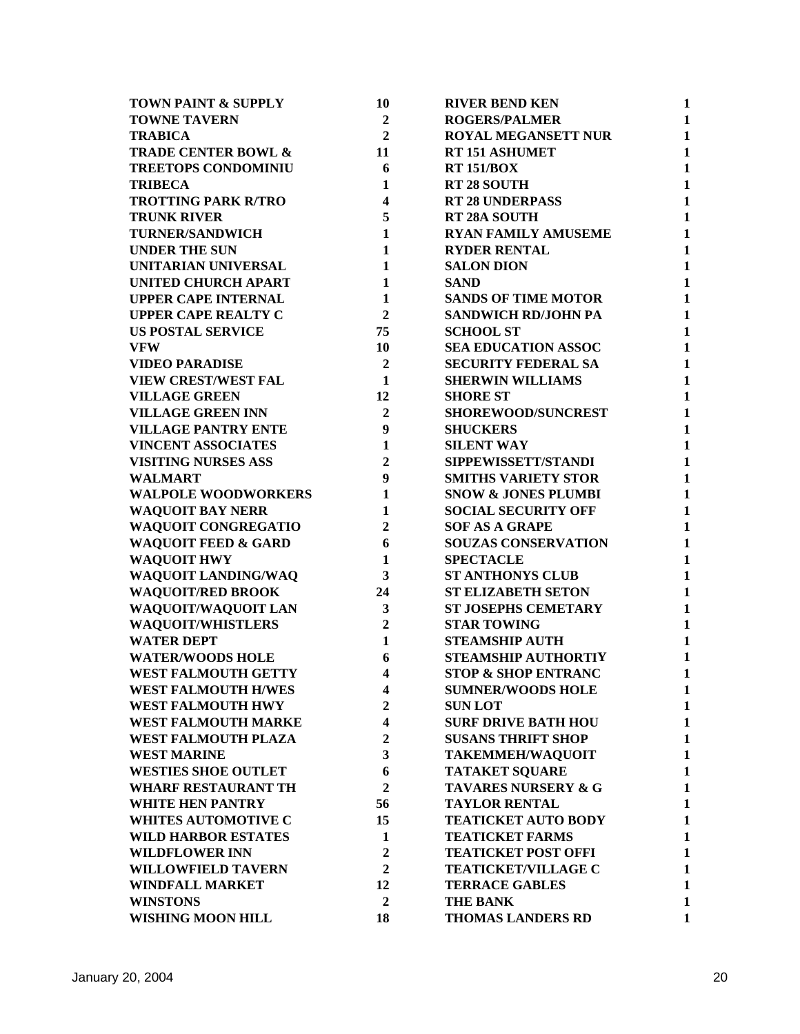| <b>TOWN PAINT &amp; SUPPLY</b> | 10             | <b>RIVER BEND KEN</b>          | 1            |
|--------------------------------|----------------|--------------------------------|--------------|
| <b>TOWNE TAVERN</b>            | $\overline{2}$ | <b>ROGERS/PALMER</b>           | $\mathbf{1}$ |
| <b>TRABICA</b>                 | $\overline{2}$ | <b>ROYAL MEGANSETT NUR</b>     | $\mathbf{1}$ |
| <b>TRADE CENTER BOWL &amp;</b> | 11             | <b>RT 151 ASHUMET</b>          | $\mathbf{1}$ |
| <b>TREETOPS CONDOMINIU</b>     | 6              | <b>RT 151/BOX</b>              | $\mathbf{1}$ |
| <b>TRIBECA</b>                 | 1              | <b>RT 28 SOUTH</b>             | $\mathbf{1}$ |
| <b>TROTTING PARK R/TRO</b>     | 4              | <b>RT 28 UNDERPASS</b>         | $\mathbf{1}$ |
| <b>TRUNK RIVER</b>             | 5              | RT 28A SOUTH                   | $\mathbf{1}$ |
| <b>TURNER/SANDWICH</b>         | $\mathbf{1}$   | <b>RYAN FAMILY AMUSEME</b>     | 1            |
| <b>UNDER THE SUN</b>           | $\mathbf{1}$   | <b>RYDER RENTAL</b>            | 1            |
| UNITARIAN UNIVERSAL            | $\mathbf{1}$   | <b>SALON DION</b>              | $\mathbf{1}$ |
| <b>UNITED CHURCH APART</b>     | $\mathbf{1}$   | <b>SAND</b>                    | $\mathbf{1}$ |
| <b>UPPER CAPE INTERNAL</b>     | $\mathbf{1}$   | <b>SANDS OF TIME MOTOR</b>     | $\mathbf{1}$ |
| <b>UPPER CAPE REALTY C</b>     | $\overline{2}$ | <b>SANDWICH RD/JOHN PA</b>     | $\mathbf{1}$ |
| <b>US POSTAL SERVICE</b>       | 75             | <b>SCHOOL ST</b>               | $\mathbf{1}$ |
| <b>VFW</b>                     | 10             | <b>SEA EDUCATION ASSOC</b>     | $\mathbf{1}$ |
| <b>VIDEO PARADISE</b>          | $\overline{2}$ | <b>SECURITY FEDERAL SA</b>     | $\mathbf{1}$ |
| <b>VIEW CREST/WEST FAL</b>     | 1              | <b>SHERWIN WILLIAMS</b>        | $\mathbf{1}$ |
| <b>VILLAGE GREEN</b>           | 12             | <b>SHORE ST</b>                | $\mathbf{1}$ |
| <b>VILLAGE GREEN INN</b>       | $\overline{2}$ | <b>SHOREWOOD/SUNCREST</b>      | $\mathbf{1}$ |
| <b>VILLAGE PANTRY ENTE</b>     | 9              | <b>SHUCKERS</b>                | $\mathbf{1}$ |
| <b>VINCENT ASSOCIATES</b>      | $\mathbf{1}$   | <b>SILENT WAY</b>              | $\mathbf{1}$ |
| <b>VISITING NURSES ASS</b>     | $\overline{2}$ | SIPPEWISSETT/STANDI            | $\mathbf{1}$ |
| <b>WALMART</b>                 | 9              | <b>SMITHS VARIETY STOR</b>     | $\mathbf{1}$ |
| <b>WALPOLE WOODWORKERS</b>     | $\mathbf{1}$   | <b>SNOW &amp; JONES PLUMBI</b> | $\mathbf{1}$ |
| <b>WAQUOIT BAY NERR</b>        | $\mathbf{1}$   | <b>SOCIAL SECURITY OFF</b>     | $\mathbf{1}$ |
| WAQUOIT CONGREGATIO            | $\overline{2}$ | <b>SOF AS A GRAPE</b>          | $\mathbf{1}$ |
| <b>WAQUOIT FEED &amp; GARD</b> | 6              | SOUZAS CONSERVATION            | $\mathbf{1}$ |
| <b>WAQUOIT HWY</b>             | $\mathbf{1}$   | <b>SPECTACLE</b>               | $\mathbf{1}$ |
| WAQUOIT LANDING/WAQ            | 3              | <b>ST ANTHONYS CLUB</b>        | $\mathbf{1}$ |
| <b>WAQUOIT/RED BROOK</b>       | 24             | <b>ST ELIZABETH SETON</b>      | $\mathbf{1}$ |
| WAQUOIT/WAQUOIT LAN            | 3              | <b>ST JOSEPHS CEMETARY</b>     | $\mathbf{1}$ |
| <b>WAQUOIT/WHISTLERS</b>       | $\overline{2}$ | <b>STAR TOWING</b>             | $\mathbf{1}$ |
| <b>WATER DEPT</b>              | $\mathbf{1}$   | <b>STEAMSHIP AUTH</b>          | $\mathbf{1}$ |
| <b>WATER/WOODS HOLE</b>        | 6              | <b>STEAMSHIP AUTHORTIY</b>     | 1            |
| <b>WEST FALMOUTH GETTY</b>     | 4              | <b>STOP &amp; SHOP ENTRANC</b> | 1            |
| <b>WEST FALMOUTH H/WES</b>     | 4              | <b>SUMNER/WOODS HOLE</b>       | $\mathbf{1}$ |
| <b>WEST FALMOUTH HWY</b>       | $\mathbf{2}$   | <b>SUNLOT</b>                  | $\mathbf{1}$ |
| <b>WEST FALMOUTH MARKE</b>     | 4              | <b>SURF DRIVE BATH HOU</b>     | $\mathbf{1}$ |
| WEST FALMOUTH PLAZA            | $\overline{2}$ | <b>SUSANS THRIFT SHOP</b>      | $\mathbf{1}$ |
| <b>WEST MARINE</b>             | 3              | <b>TAKEMMEH/WAQUOIT</b>        | $\mathbf{1}$ |
| <b>WESTIES SHOE OUTLET</b>     | 6              | <b>TATAKET SQUARE</b>          | $\mathbf{1}$ |
| <b>WHARF RESTAURANT TH</b>     | $\overline{2}$ | <b>TAVARES NURSERY &amp; G</b> | $\mathbf{1}$ |
| <b>WHITE HEN PANTRY</b>        | 56             | <b>TAYLOR RENTAL</b>           | $\mathbf{1}$ |
| <b>WHITES AUTOMOTIVE C</b>     | 15             | <b>TEATICKET AUTO BODY</b>     | $\mathbf{1}$ |
| <b>WILD HARBOR ESTATES</b>     | $\mathbf{1}$   | <b>TEATICKET FARMS</b>         | $\mathbf{1}$ |
| <b>WILDFLOWER INN</b>          | $\overline{2}$ | <b>TEATICKET POST OFFI</b>     | 1            |
| <b>WILLOWFIELD TAVERN</b>      | $\overline{2}$ | <b>TEATICKET/VILLAGE C</b>     | $\mathbf{1}$ |
| <b>WINDFALL MARKET</b>         | 12             | <b>TERRACE GABLES</b>          | $\mathbf{1}$ |
| <b>WINSTONS</b>                | $\overline{2}$ | <b>THE BANK</b>                | $\mathbf{1}$ |
| <b>WISHING MOON HILL</b>       | 18             | <b>THOMAS LANDERS RD</b>       | $\mathbf{1}$ |